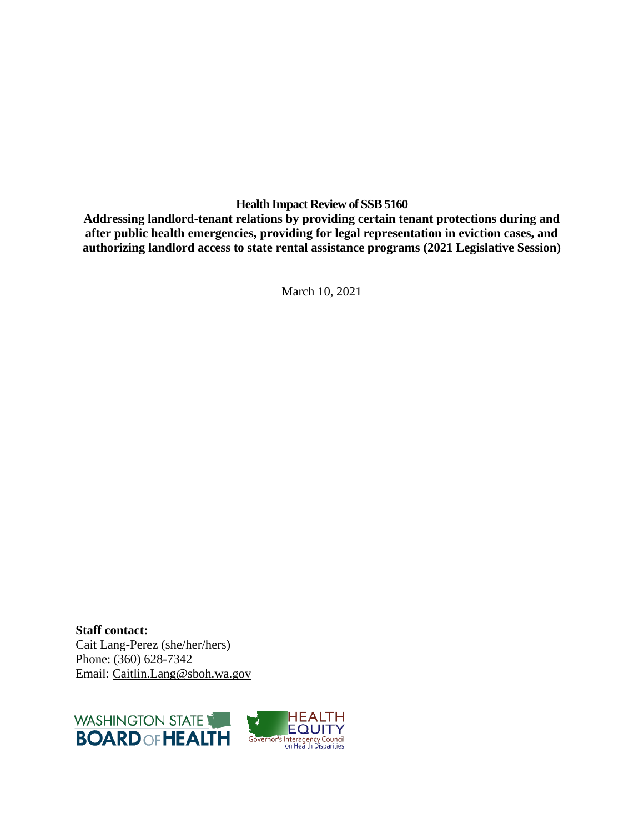# **Health Impact Review of SSB 5160**

**Addressing landlord-tenant relations by providing certain tenant protections during and after public health emergencies, providing for legal representation in eviction cases, and authorizing landlord access to state rental assistance programs (2021 Legislative Session)**

March 10, 2021

**Staff contact:** Cait Lang-Perez (she/her/hers) Phone: (360) 628-7342 Email: [Caitlin.Lang@sboh.wa.gov](mailto:Caitlin.Lang@sboh.wa.gov)

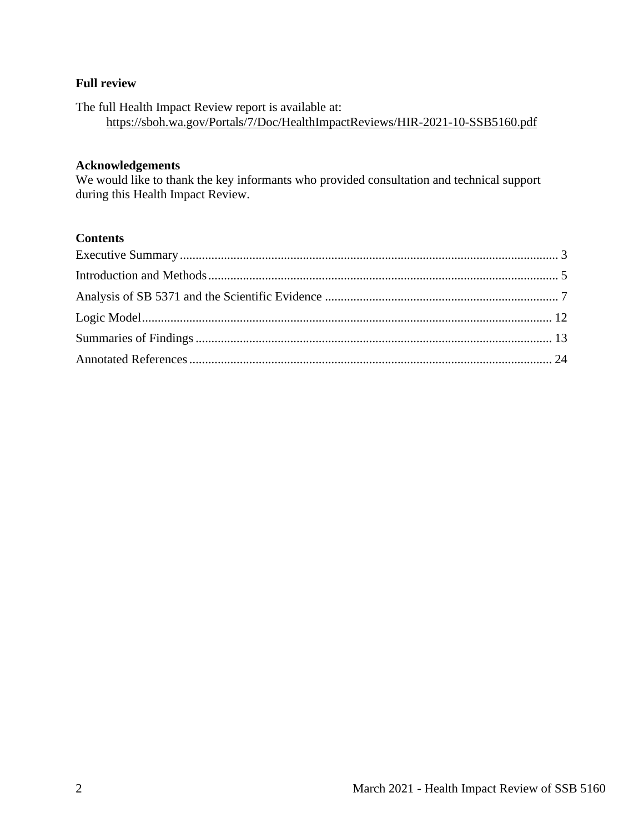# **Full review**

The full Health Impact Review report is available at: <https://sboh.wa.gov/Portals/7/Doc/HealthImpactReviews/HIR-2021-10-SSB5160.pdf>

#### **Acknowledgements**

We would like to thank the key informants who provided consultation and technical support during this Health Impact Review.

# **Contents**

<span id="page-1-0"></span>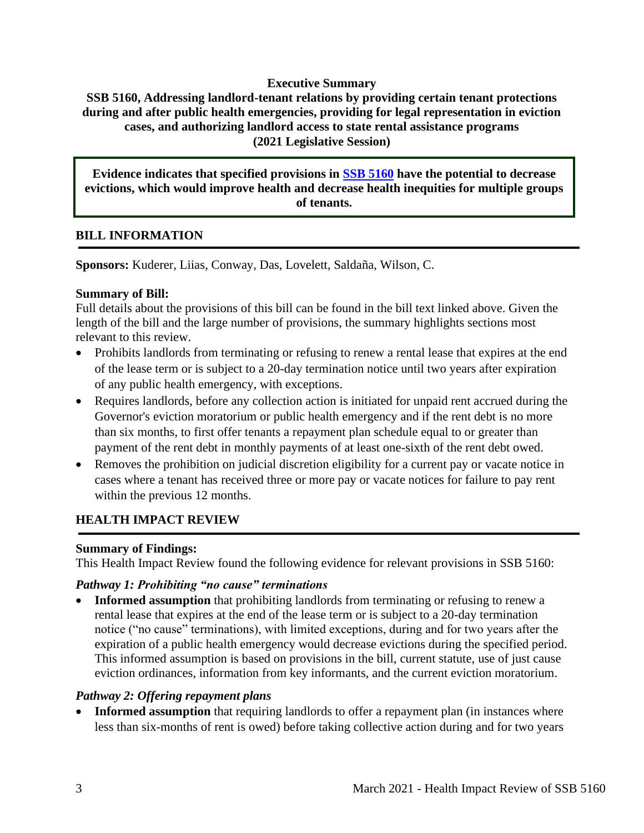### **Executive Summary**

# **SSB 5160, Addressing landlord-tenant relations by providing certain tenant protections during and after public health emergencies, providing for legal representation in eviction cases, and authorizing landlord access to state rental assistance programs (2021 Legislative Session)**

# **Evidence indicates that specified provisions in [SSB 5160](http://lawfilesext.leg.wa.gov/biennium/2021-22/Pdf/Bills/Senate%20Bills/5160-S.pdf?q=20210301070841) have the potential to decrease evictions, which would improve health and decrease health inequities for multiple groups of tenants.**

### **BILL INFORMATION**

**Sponsors:** Kuderer, Liias, Conway, Das, Lovelett, Saldaña, Wilson, C.

### **Summary of Bill:**

Full details about the provisions of this bill can be found in the bill text linked above. Given the length of the bill and the large number of provisions, the summary highlights sections most relevant to this review.

- Prohibits landlords from terminating or refusing to renew a rental lease that expires at the end of the lease term or is subject to a 20-day termination notice until two years after expiration of any public health emergency, with exceptions.
- Requires landlords, before any collection action is initiated for unpaid rent accrued during the Governor's eviction moratorium or public health emergency and if the rent debt is no more than six months, to first offer tenants a repayment plan schedule equal to or greater than payment of the rent debt in monthly payments of at least one-sixth of the rent debt owed.
- Removes the prohibition on judicial discretion eligibility for a current pay or vacate notice in cases where a tenant has received three or more pay or vacate notices for failure to pay rent within the previous 12 months.

# **HEALTH IMPACT REVIEW**

### **Summary of Findings:**

This Health Impact Review found the following evidence for relevant provisions in SSB 5160:

### *Pathway 1: Prohibiting "no cause" terminations*

**Informed assumption** that prohibiting landlords from terminating or refusing to renew a rental lease that expires at the end of the lease term or is subject to a 20-day termination notice ("no cause" terminations), with limited exceptions, during and for two years after the expiration of a public health emergency would decrease evictions during the specified period. This informed assumption is based on provisions in the bill, current statute, use of just cause eviction ordinances, information from key informants, and the current eviction moratorium.

### *Pathway 2: Offering repayment plans*

**Informed assumption** that requiring landlords to offer a repayment plan (in instances where less than six-months of rent is owed) before taking collective action during and for two years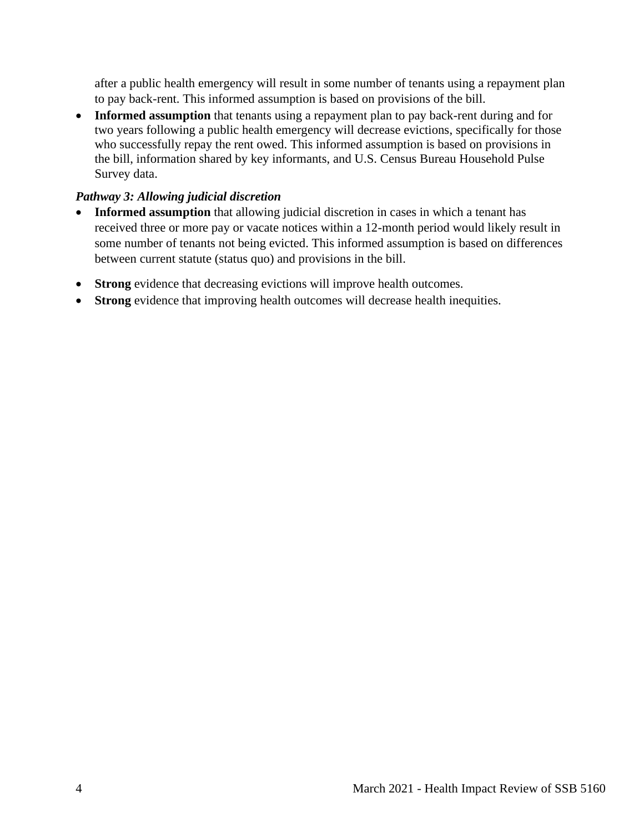after a public health emergency will result in some number of tenants using a repayment plan to pay back-rent. This informed assumption is based on provisions of the bill.

• **Informed assumption** that tenants using a repayment plan to pay back-rent during and for two years following a public health emergency will decrease evictions, specifically for those who successfully repay the rent owed. This informed assumption is based on provisions in the bill, information shared by key informants, and U.S. Census Bureau Household Pulse Survey data.

# *Pathway 3: Allowing judicial discretion*

- **Informed assumption** that allowing judicial discretion in cases in which a tenant has received three or more pay or vacate notices within a 12-month period would likely result in some number of tenants not being evicted. This informed assumption is based on differences between current statute (status quo) and provisions in the bill.
- **Strong** evidence that decreasing evictions will improve health outcomes.
- **Strong** evidence that improving health outcomes will decrease health inequities.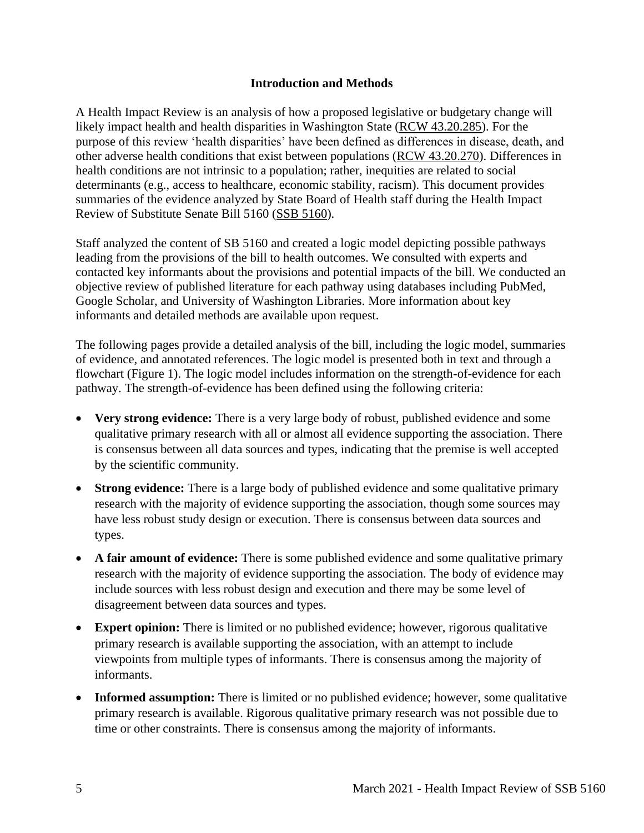### **Introduction and Methods**

<span id="page-4-0"></span>A Health Impact Review is an analysis of how a proposed legislative or budgetary change will likely impact health and health disparities in Washington State [\(RCW 43.20.285\)](http://apps.leg.wa.gov/rcw/default.aspx?cite=43.20.285). For the purpose of this review 'health disparities' have been defined as differences in disease, death, and other adverse health conditions that exist between populations [\(RCW 43.20.270\)](http://apps.leg.wa.gov/rcw/default.aspx?cite=43.20.270). Differences in health conditions are not intrinsic to a population; rather, inequities are related to social determinants (e.g., access to healthcare, economic stability, racism). This document provides summaries of the evidence analyzed by State Board of Health staff during the Health Impact Review of Substitute Senate Bill 5160 [\(SSB 5160\)](https://app.leg.wa.gov/billsummary?BillNumber=5160&Year=2021&Initiative=false).

Staff analyzed the content of SB 5160 and created a logic model depicting possible pathways leading from the provisions of the bill to health outcomes. We consulted with experts and contacted key informants about the provisions and potential impacts of the bill. We conducted an objective review of published literature for each pathway using databases including PubMed, Google Scholar, and University of Washington Libraries. More information about key informants and detailed methods are available upon request.

The following pages provide a detailed analysis of the bill, including the logic model, summaries of evidence, and annotated references. The logic model is presented both in text and through a flowchart (Figure 1). The logic model includes information on the strength-of-evidence for each pathway. The strength-of-evidence has been defined using the following criteria:

- **Very strong evidence:** There is a very large body of robust, published evidence and some qualitative primary research with all or almost all evidence supporting the association. There is consensus between all data sources and types, indicating that the premise is well accepted by the scientific community.
- **Strong evidence:** There is a large body of published evidence and some qualitative primary research with the majority of evidence supporting the association, though some sources may have less robust study design or execution. There is consensus between data sources and types.
- A fair amount of evidence: There is some published evidence and some qualitative primary research with the majority of evidence supporting the association. The body of evidence may include sources with less robust design and execution and there may be some level of disagreement between data sources and types.
- **Expert opinion:** There is limited or no published evidence; however, rigorous qualitative primary research is available supporting the association, with an attempt to include viewpoints from multiple types of informants. There is consensus among the majority of informants.
- **Informed assumption:** There is limited or no published evidence; however, some qualitative primary research is available. Rigorous qualitative primary research was not possible due to time or other constraints. There is consensus among the majority of informants.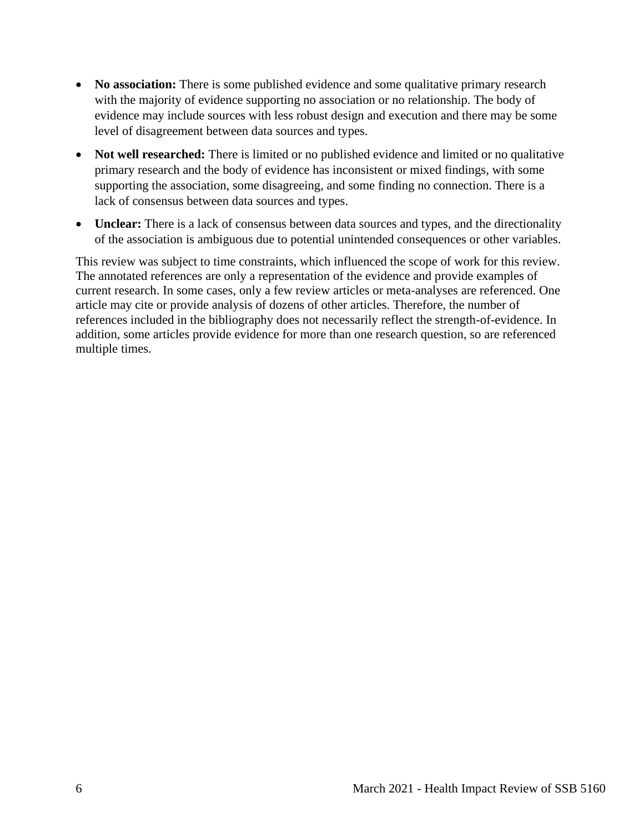- **No association:** There is some published evidence and some qualitative primary research with the majority of evidence supporting no association or no relationship. The body of evidence may include sources with less robust design and execution and there may be some level of disagreement between data sources and types.
- **Not well researched:** There is limited or no published evidence and limited or no qualitative primary research and the body of evidence has inconsistent or mixed findings, with some supporting the association, some disagreeing, and some finding no connection. There is a lack of consensus between data sources and types.
- **Unclear:** There is a lack of consensus between data sources and types, and the directionality of the association is ambiguous due to potential unintended consequences or other variables.

This review was subject to time constraints, which influenced the scope of work for this review. The annotated references are only a representation of the evidence and provide examples of current research. In some cases, only a few review articles or meta-analyses are referenced. One article may cite or provide analysis of dozens of other articles. Therefore, the number of references included in the bibliography does not necessarily reflect the strength-of-evidence. In addition, some articles provide evidence for more than one research question, so are referenced multiple times.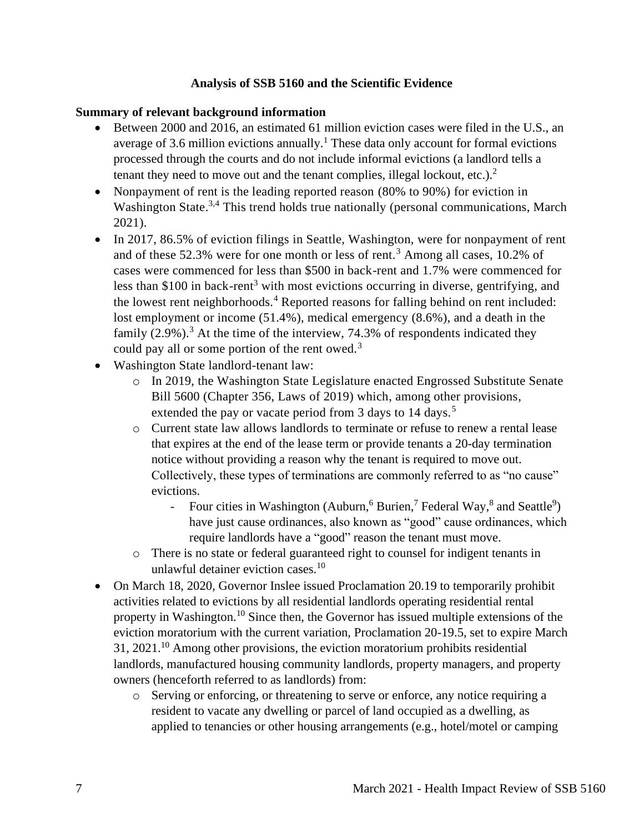# **Analysis of SSB 5160 and the Scientific Evidence**

### <span id="page-6-0"></span>**Summary of relevant background information**

- Between 2000 and 2016, an estimated 61 million eviction cases were filed in the U.S., an average of 3.6 million evictions annually.<sup>1</sup> These data only account for formal evictions processed through the courts and do not include informal evictions (a landlord tells a tenant they need to move out and the tenant complies, illegal lockout, etc.).<sup>2</sup>
- Nonpayment of rent is the leading reported reason (80% to 90%) for eviction in Washington State.<sup>3,4</sup> This trend holds true nationally (personal communications, March 2021).
- In 2017, 86.5% of eviction filings in Seattle, Washington, were for nonpayment of rent and of these  $52.3\%$  were for one month or less of rent.<sup>3</sup> Among all cases, 10.2% of cases were commenced for less than \$500 in back-rent and 1.7% were commenced for less than \$100 in back-rent<sup>3</sup> with most evictions occurring in diverse, gentrifying, and the lowest rent neighborhoods.<sup>4</sup> Reported reasons for falling behind on rent included: lost employment or income (51.4%), medical emergency (8.6%), and a death in the family  $(2.9\%)$ .<sup>3</sup> At the time of the interview, 74.3% of respondents indicated they could pay all or some portion of the rent owed. $3$
- Washington State landlord-tenant law:
	- o In 2019, the Washington State Legislature enacted Engrossed Substitute Senate Bill 5600 (Chapter 356, Laws of 2019) which, among other provisions, extended the pay or vacate period from 3 days to 14 days.<sup>5</sup>
	- o Current state law allows landlords to terminate or refuse to renew a rental lease that expires at the end of the lease term or provide tenants a 20-day termination notice without providing a reason why the tenant is required to move out. Collectively, these types of terminations are commonly referred to as "no cause" evictions.
		- Four cities in Washington (Auburn,  $6$  Burien,  $7$  Federal Way,  $8$  and Seattle<sup>9</sup>) have just cause ordinances, also known as "good" cause ordinances, which require landlords have a "good" reason the tenant must move.
	- o There is no state or federal guaranteed right to counsel for indigent tenants in unlawful detainer eviction cases.<sup>10</sup>
- On March 18, 2020, Governor Inslee issued Proclamation 20.19 to temporarily prohibit activities related to evictions by all residential landlords operating residential rental property in Washington.<sup>10</sup> Since then, the Governor has issued multiple extensions of the eviction moratorium with the current variation, Proclamation 20-19.5, set to expire March  $31, 2021$ <sup>10</sup> Among other provisions, the eviction moratorium prohibits residential landlords, manufactured housing community landlords, property managers, and property owners (henceforth referred to as landlords) from:
	- o Serving or enforcing, or threatening to serve or enforce, any notice requiring a resident to vacate any dwelling or parcel of land occupied as a dwelling, as applied to tenancies or other housing arrangements (e.g., hotel/motel or camping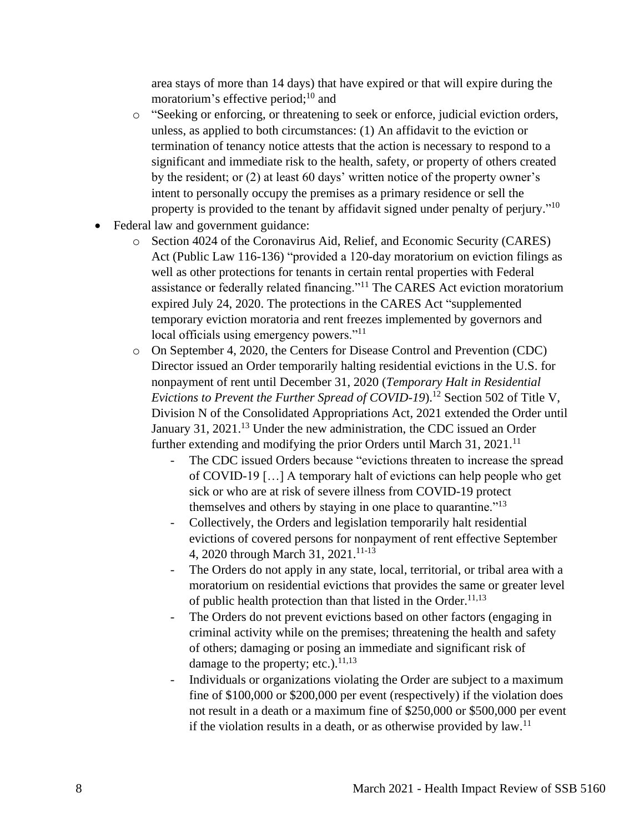area stays of more than 14 days) that have expired or that will expire during the moratorium's effective period; $^{10}$  and

- o "Seeking or enforcing, or threatening to seek or enforce, judicial eviction orders, unless, as applied to both circumstances: (1) An affidavit to the eviction or termination of tenancy notice attests that the action is necessary to respond to a significant and immediate risk to the health, safety, or property of others created by the resident; or (2) at least 60 days' written notice of the property owner's intent to personally occupy the premises as a primary residence or sell the property is provided to the tenant by affidavit signed under penalty of perjury."<sup>10</sup>
- Federal law and government guidance:
	- o Section 4024 of the Coronavirus Aid, Relief, and Economic Security (CARES) Act (Public Law 116-136) "provided a 120-day moratorium on eviction filings as well as other protections for tenants in certain rental properties with Federal assistance or federally related financing."<sup>11</sup> The CARES Act eviction moratorium expired July 24, 2020. The protections in the CARES Act "supplemented temporary eviction moratoria and rent freezes implemented by governors and local officials using emergency powers."<sup>11</sup>
	- o On September 4, 2020, the Centers for Disease Control and Prevention (CDC) Director issued an Order temporarily halting residential evictions in the U.S. for nonpayment of rent until December 31, 2020 (*Temporary Halt in Residential Evictions to Prevent the Further Spread of COVID-19*).<sup>12</sup> Section 502 of Title V, Division N of the Consolidated Appropriations Act, 2021 extended the Order until January 31, 2021.<sup>13</sup> Under the new administration, the CDC issued an Order further extending and modifying the prior Orders until March 31, 2021.<sup>11</sup>
		- The CDC issued Orders because "evictions threaten to increase the spread of COVID-19 […] A temporary halt of evictions can help people who get sick or who are at risk of severe illness from COVID-19 protect themselves and others by staying in one place to quarantine."<sup>13</sup>
		- Collectively, the Orders and legislation temporarily halt residential evictions of covered persons for nonpayment of rent effective September 4, 2020 through March 31, 2021. 11-13
		- The Orders do not apply in any state, local, territorial, or tribal area with a moratorium on residential evictions that provides the same or greater level of public health protection than that listed in the Order. $11,13$
		- The Orders do not prevent evictions based on other factors (engaging in criminal activity while on the premises; threatening the health and safety of others; damaging or posing an immediate and significant risk of damage to the property; etc.). $^{11,13}$
		- Individuals or organizations violating the Order are subject to a maximum fine of \$100,000 or \$200,000 per event (respectively) if the violation does not result in a death or a maximum fine of \$250,000 or \$500,000 per event if the violation results in a death, or as otherwise provided by  $law$ .<sup>11</sup>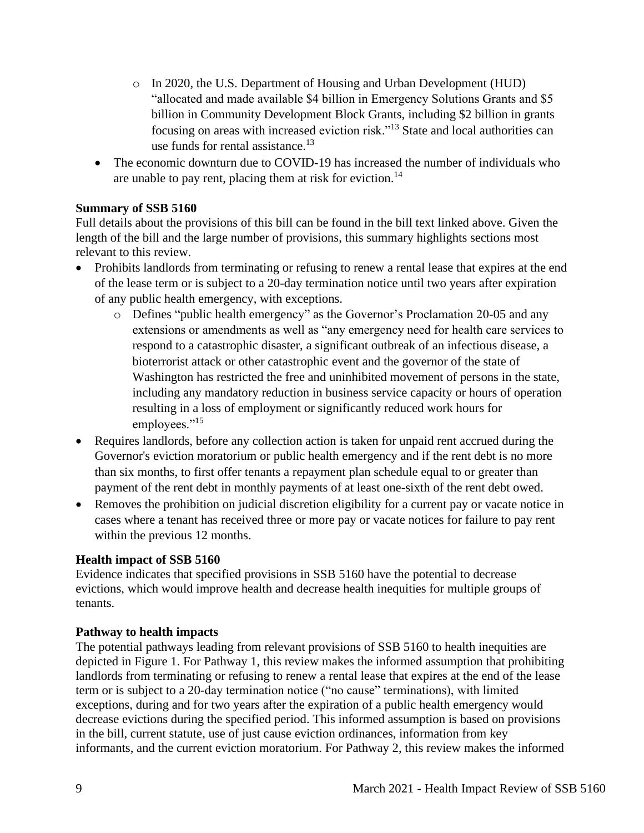- o In 2020, the U.S. Department of Housing and Urban Development (HUD) "allocated and made available \$4 billion in Emergency Solutions Grants and \$5 billion in Community Development Block Grants, including \$2 billion in grants focusing on areas with increased eviction risk."<sup>13</sup> State and local authorities can use funds for rental assistance. $^{13}$
- The economic downturn due to COVID-19 has increased the number of individuals who are unable to pay rent, placing them at risk for eviction.<sup>14</sup>

# **Summary of SSB 5160**

Full details about the provisions of this bill can be found in the bill text linked above. Given the length of the bill and the large number of provisions, this summary highlights sections most relevant to this review.

- Prohibits landlords from terminating or refusing to renew a rental lease that expires at the end of the lease term or is subject to a 20-day termination notice until two years after expiration of any public health emergency, with exceptions.
	- o Defines "public health emergency" as the Governor's Proclamation 20-05 and any extensions or amendments as well as "any emergency need for health care services to respond to a catastrophic disaster, a significant outbreak of an infectious disease, a bioterrorist attack or other catastrophic event and the governor of the state of Washington has restricted the free and uninhibited movement of persons in the state, including any mandatory reduction in business service capacity or hours of operation resulting in a loss of employment or significantly reduced work hours for employees."<sup>15</sup>
- Requires landlords, before any collection action is taken for unpaid rent accrued during the Governor's eviction moratorium or public health emergency and if the rent debt is no more than six months, to first offer tenants a repayment plan schedule equal to or greater than payment of the rent debt in monthly payments of at least one-sixth of the rent debt owed.
- Removes the prohibition on judicial discretion eligibility for a current pay or vacate notice in cases where a tenant has received three or more pay or vacate notices for failure to pay rent within the previous 12 months.

# **Health impact of SSB 5160**

Evidence indicates that specified provisions in SSB 5160 have the potential to decrease evictions, which would improve health and decrease health inequities for multiple groups of tenants.

# **Pathway to health impacts**

The potential pathways leading from relevant provisions of SSB 5160 to health inequities are depicted in Figure 1. For Pathway 1, this review makes the informed assumption that prohibiting landlords from terminating or refusing to renew a rental lease that expires at the end of the lease term or is subject to a 20-day termination notice ("no cause" terminations), with limited exceptions, during and for two years after the expiration of a public health emergency would decrease evictions during the specified period. This informed assumption is based on provisions in the bill, current statute, use of just cause eviction ordinances, information from key informants, and the current eviction moratorium. For Pathway 2, this review makes the informed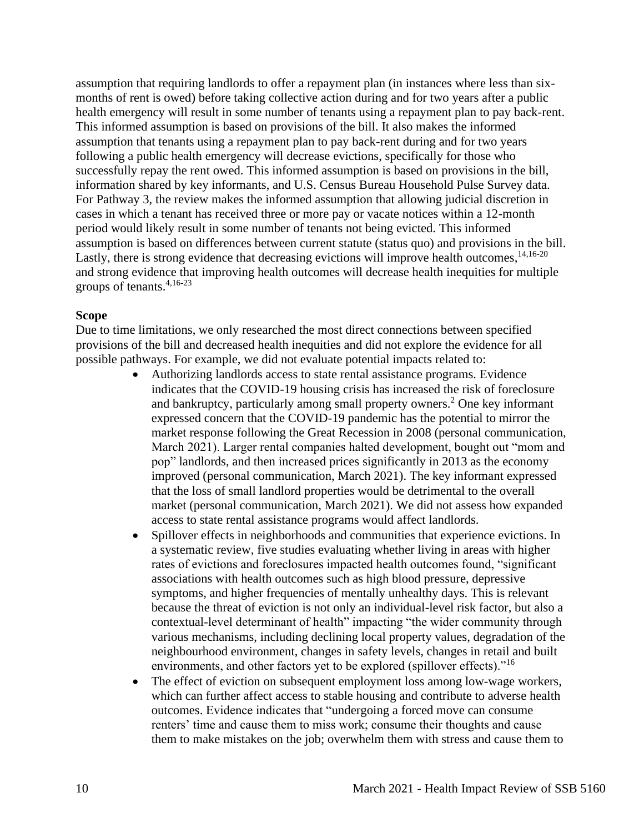assumption that requiring landlords to offer a repayment plan (in instances where less than sixmonths of rent is owed) before taking collective action during and for two years after a public health emergency will result in some number of tenants using a repayment plan to pay back-rent. This informed assumption is based on provisions of the bill. It also makes the informed assumption that tenants using a repayment plan to pay back-rent during and for two years following a public health emergency will decrease evictions, specifically for those who successfully repay the rent owed. This informed assumption is based on provisions in the bill, information shared by key informants, and U.S. Census Bureau Household Pulse Survey data. For Pathway 3, the review makes the informed assumption that allowing judicial discretion in cases in which a tenant has received three or more pay or vacate notices within a 12-month period would likely result in some number of tenants not being evicted. This informed assumption is based on differences between current statute (status quo) and provisions in the bill. Lastly, there is strong evidence that decreasing evictions will improve health outcomes,<sup>14,16-20</sup> and strong evidence that improving health outcomes will decrease health inequities for multiple groups of tenants. 4,16-23

#### **Scope**

Due to time limitations, we only researched the most direct connections between specified provisions of the bill and decreased health inequities and did not explore the evidence for all possible pathways. For example, we did not evaluate potential impacts related to:

- Authorizing landlords access to state rental assistance programs. Evidence indicates that the COVID-19 housing crisis has increased the risk of foreclosure and bankruptcy, particularly among small property owners.<sup>2</sup> One key informant expressed concern that the COVID-19 pandemic has the potential to mirror the market response following the Great Recession in 2008 (personal communication, March 2021). Larger rental companies halted development, bought out "mom and pop" landlords, and then increased prices significantly in 2013 as the economy improved (personal communication, March 2021). The key informant expressed that the loss of small landlord properties would be detrimental to the overall market (personal communication, March 2021). We did not assess how expanded access to state rental assistance programs would affect landlords.
- Spillover effects in neighborhoods and communities that experience evictions. In a systematic review, five studies evaluating whether living in areas with higher rates of evictions and foreclosures impacted health outcomes found, "significant associations with health outcomes such as high blood pressure, depressive symptoms, and higher frequencies of mentally unhealthy days. This is relevant because the threat of eviction is not only an individual-level risk factor, but also a contextual-level determinant of health" impacting "the wider community through various mechanisms, including declining local property values, degradation of the neighbourhood environment, changes in safety levels, changes in retail and built environments, and other factors yet to be explored (spillover effects)."<sup>16</sup>
- The effect of eviction on subsequent employment loss among low-wage workers, which can further affect access to stable housing and contribute to adverse health outcomes. Evidence indicates that "undergoing a forced move can consume renters' time and cause them to miss work; consume their thoughts and cause them to make mistakes on the job; overwhelm them with stress and cause them to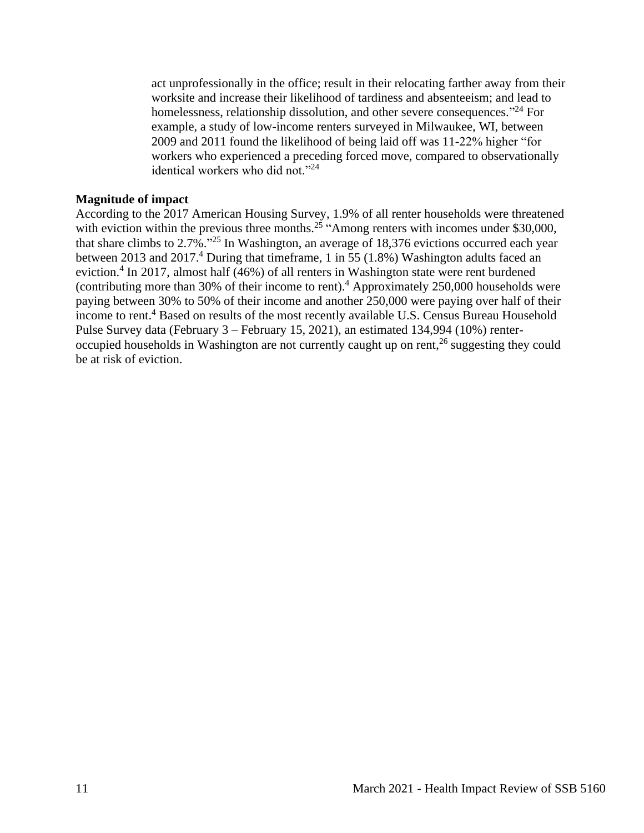act unprofessionally in the office; result in their relocating farther away from their worksite and increase their likelihood of tardiness and absenteeism; and lead to homelessness, relationship dissolution, and other severe consequences."<sup>24</sup> For example, a study of low-income renters surveyed in Milwaukee, WI, between 2009 and 2011 found the likelihood of being laid off was 11-22% higher "for workers who experienced a preceding forced move, compared to observationally identical workers who did not."<sup>24</sup>

#### **Magnitude of impact**

According to the 2017 American Housing Survey, 1.9% of all renter households were threatened with eviction within the previous three months.<sup>25</sup> "Among renters with incomes under \$30,000, that share climbs to 2.7%."<sup>25</sup> In Washington, an average of 18,376 evictions occurred each year between 2013 and 2017. <sup>4</sup> During that timeframe, 1 in 55 (1.8%) Washington adults faced an eviction.<sup>4</sup> In 2017, almost half (46%) of all renters in Washington state were rent burdened (contributing more than 30% of their income to rent).<sup>4</sup> Approximately 250,000 households were paying between 30% to 50% of their income and another 250,000 were paying over half of their income to rent.<sup>4</sup> Based on results of the most recently available U.S. Census Bureau Household Pulse Survey data (February 3 – February 15, 2021), an estimated 134,994 (10%) renteroccupied households in Washington are not currently caught up on rent,<sup>26</sup> suggesting they could be at risk of eviction.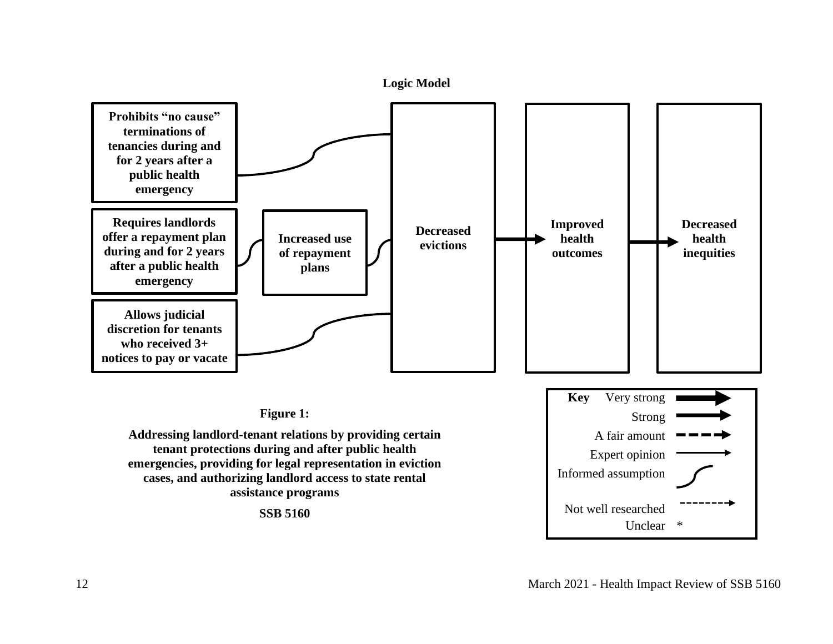<span id="page-11-0"></span>

12 March 2021 - Health Impact Review of SSB 5160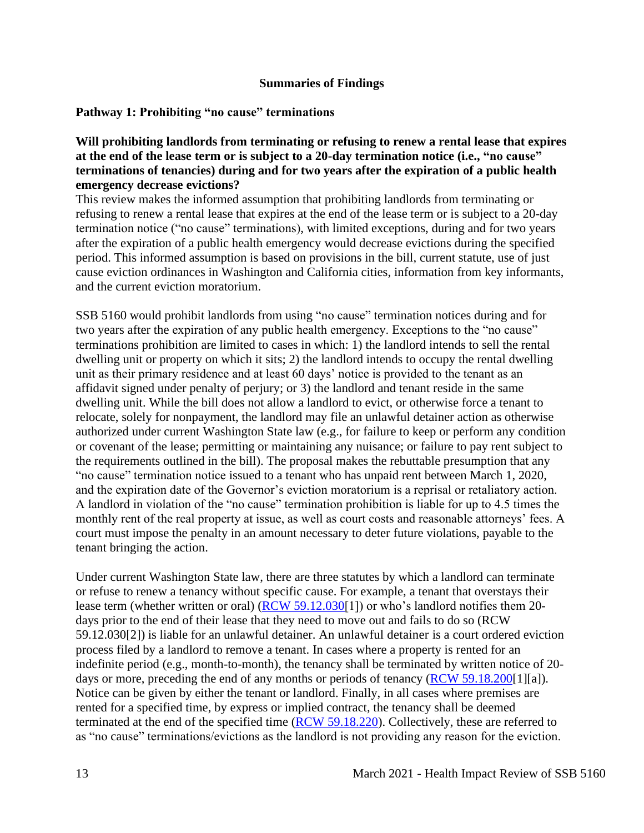### **Summaries of Findings**

# <span id="page-12-0"></span>**Pathway 1: Prohibiting "no cause" terminations**

## **Will prohibiting landlords from terminating or refusing to renew a rental lease that expires at the end of the lease term or is subject to a 20-day termination notice (i.e., "no cause" terminations of tenancies) during and for two years after the expiration of a public health emergency decrease evictions?**

This review makes the informed assumption that prohibiting landlords from terminating or refusing to renew a rental lease that expires at the end of the lease term or is subject to a 20-day termination notice ("no cause" terminations), with limited exceptions, during and for two years after the expiration of a public health emergency would decrease evictions during the specified period. This informed assumption is based on provisions in the bill, current statute, use of just cause eviction ordinances in Washington and California cities, information from key informants, and the current eviction moratorium.

SSB 5160 would prohibit landlords from using "no cause" termination notices during and for two years after the expiration of any public health emergency. Exceptions to the "no cause" terminations prohibition are limited to cases in which: 1) the landlord intends to sell the rental dwelling unit or property on which it sits; 2) the landlord intends to occupy the rental dwelling unit as their primary residence and at least 60 days' notice is provided to the tenant as an affidavit signed under penalty of perjury; or 3) the landlord and tenant reside in the same dwelling unit. While the bill does not allow a landlord to evict, or otherwise force a tenant to relocate, solely for nonpayment, the landlord may file an unlawful detainer action as otherwise authorized under current Washington State law (e.g., for failure to keep or perform any condition or covenant of the lease; permitting or maintaining any nuisance; or failure to pay rent subject to the requirements outlined in the bill). The proposal makes the rebuttable presumption that any "no cause" termination notice issued to a tenant who has unpaid rent between March 1, 2020, and the expiration date of the Governor's eviction moratorium is a reprisal or retaliatory action. A landlord in violation of the "no cause" termination prohibition is liable for up to 4.5 times the monthly rent of the real property at issue, as well as court costs and reasonable attorneys' fees. A court must impose the penalty in an amount necessary to deter future violations, payable to the tenant bringing the action.

Under current Washington State law, there are three statutes by which a landlord can terminate or refuse to renew a tenancy without specific cause. For example, a tenant that overstays their lease term (whether written or oral) [\(RCW 59.12.030\[](https://apps.leg.wa.gov/rcw/default.aspx?cite=59.12.030)1]) or who's landlord notifies them 20 days prior to the end of their lease that they need to move out and fails to do so (RCW 59.12.030[2]) is liable for an unlawful detainer. An unlawful detainer is a court ordered eviction process filed by a landlord to remove a tenant. In cases where a property is rented for an indefinite period (e.g., month-to-month), the tenancy shall be terminated by written notice of 20- days or more, preceding the end of any months or periods of tenancy [\(RCW 59.18.200\[](https://apps.leg.wa.gov/rcw/default.aspx?cite=59.18.200)1][a]). Notice can be given by either the tenant or landlord. Finally, in all cases where premises are rented for a specified time, by express or implied contract, the tenancy shall be deemed terminated at the end of the specified time [\(RCW 59.18.220\)](https://app.leg.wa.gov/rcw/default.aspx?cite=59.18.220). Collectively, these are referred to as "no cause" terminations/evictions as the landlord is not providing any reason for the eviction.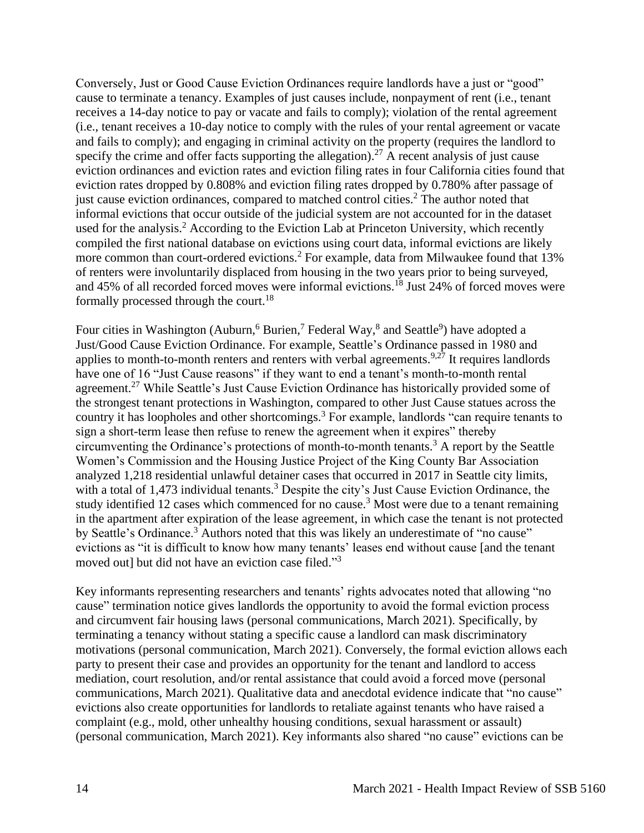Conversely, Just or Good Cause Eviction Ordinances require landlords have a just or "good" cause to terminate a tenancy. Examples of just causes include, nonpayment of rent (i.e., tenant receives a 14-day notice to pay or vacate and fails to comply); violation of the rental agreement (i.e., tenant receives a 10-day notice to comply with the rules of your rental agreement or vacate and fails to comply); and engaging in criminal activity on the property (requires the landlord to specify the crime and offer facts supporting the allegation).<sup>27</sup> A recent analysis of just cause eviction ordinances and eviction rates and eviction filing rates in four California cities found that eviction rates dropped by 0.808% and eviction filing rates dropped by 0.780% after passage of just cause eviction ordinances, compared to matched control cities.<sup>2</sup> The author noted that informal evictions that occur outside of the judicial system are not accounted for in the dataset used for the analysis.<sup>2</sup> According to the Eviction Lab at Princeton University, which recently compiled the first national database on evictions using court data, informal evictions are likely more common than court-ordered evictions.<sup>2</sup> For example, data from Milwaukee found that 13% of renters were involuntarily displaced from housing in the two years prior to being surveyed, and 45% of all recorded forced moves were informal evictions.<sup>18</sup> Just 24% of forced moves were formally processed through the court.<sup>18</sup>

Four cities in Washington (Auburn,<sup>6</sup> Burien,<sup>7</sup> Federal Way,<sup>8</sup> and Seattle<sup>9</sup>) have adopted a Just/Good Cause Eviction Ordinance. For example, Seattle's Ordinance passed in 1980 and applies to month-to-month renters and renters with verbal agreements.<sup>9,27</sup> It requires landlords have one of 16 "Just Cause reasons" if they want to end a tenant's month-to-month rental agreement.<sup>27</sup> While Seattle's Just Cause Eviction Ordinance has historically provided some of the strongest tenant protections in Washington, compared to other Just Cause statues across the country it has loopholes and other shortcomings.<sup>3</sup> For example, landlords "can require tenants to sign a short-term lease then refuse to renew the agreement when it expires" thereby circumventing the Ordinance's protections of month-to-month tenants.<sup>3</sup> A report by the Seattle Women's Commission and the Housing Justice Project of the King County Bar Association analyzed 1,218 residential unlawful detainer cases that occurred in 2017 in Seattle city limits, with a total of 1,473 individual tenants.<sup>3</sup> Despite the city's Just Cause Eviction Ordinance, the study identified 12 cases which commenced for no cause.<sup>3</sup> Most were due to a tenant remaining in the apartment after expiration of the lease agreement, in which case the tenant is not protected by Seattle's Ordinance.<sup>3</sup> Authors noted that this was likely an underestimate of "no cause" evictions as "it is difficult to know how many tenants' leases end without cause [and the tenant moved out] but did not have an eviction case filed."<sup>3</sup>

Key informants representing researchers and tenants' rights advocates noted that allowing "no cause" termination notice gives landlords the opportunity to avoid the formal eviction process and circumvent fair housing laws (personal communications, March 2021). Specifically, by terminating a tenancy without stating a specific cause a landlord can mask discriminatory motivations (personal communication, March 2021). Conversely, the formal eviction allows each party to present their case and provides an opportunity for the tenant and landlord to access mediation, court resolution, and/or rental assistance that could avoid a forced move (personal communications, March 2021). Qualitative data and anecdotal evidence indicate that "no cause" evictions also create opportunities for landlords to retaliate against tenants who have raised a complaint (e.g., mold, other unhealthy housing conditions, sexual harassment or assault) (personal communication, March 2021). Key informants also shared "no cause" evictions can be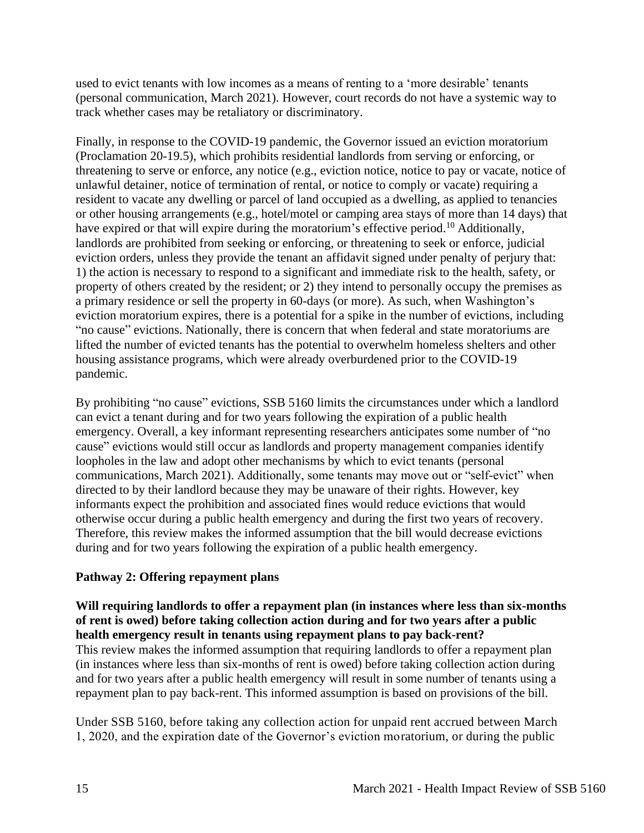used to evict tenants with low incomes as a means of renting to a 'more desirable' tenants (personal communication, March 2021). However, court records do not have a systemic way to track whether cases may be retaliatory or discriminatory.

Finally, in response to the COVID-19 pandemic, the Governor issued an eviction moratorium (Proclamation 20-19.5), which prohibits residential landlords from serving or enforcing, or threatening to serve or enforce, any notice (e.g., eviction notice, notice to pay or vacate, notice of unlawful detainer, notice of termination of rental, or notice to comply or vacate) requiring a resident to vacate any dwelling or parcel of land occupied as a dwelling, as applied to tenancies or other housing arrangements (e.g., hotel/motel or camping area stays of more than 14 days) that have expired or that will expire during the moratorium's effective period.<sup>10</sup> Additionally, landlords are prohibited from seeking or enforcing, or threatening to seek or enforce, judicial eviction orders, unless they provide the tenant an affidavit signed under penalty of perjury that: 1) the action is necessary to respond to a significant and immediate risk to the health, safety, or property of others created by the resident; or 2) they intend to personally occupy the premises as a primary residence or sell the property in 60-days (or more). As such, when Washington's eviction moratorium expires, there is a potential for a spike in the number of evictions, including "no cause" evictions. Nationally, there is concern that when federal and state moratoriums are lifted the number of evicted tenants has the potential to overwhelm homeless shelters and other housing assistance programs, which were already overburdened prior to the COVID-19 pandemic.

By prohibiting "no cause" evictions, SSB 5160 limits the circumstances under which a landlord can evict a tenant during and for two years following the expiration of a public health emergency. Overall, a key informant representing researchers anticipates some number of "no cause" evictions would still occur as landlords and property management companies identify loopholes in the law and adopt other mechanisms by which to evict tenants (personal communications, March 2021). Additionally, some tenants may move out or "self-evict" when directed to by their landlord because they may be unaware of their rights. However, key informants expect the prohibition and associated fines would reduce evictions that would otherwise occur during a public health emergency and during the first two years of recovery. Therefore, this review makes the informed assumption that the bill would decrease evictions during and for two years following the expiration of a public health emergency.

# **Pathway 2: Offering repayment plans**

### **Will requiring landlords to offer a repayment plan (in instances where less than six-months of rent is owed) before taking collection action during and for two years after a public health emergency result in tenants using repayment plans to pay back-rent?**

This review makes the informed assumption that requiring landlords to offer a repayment plan (in instances where less than six-months of rent is owed) before taking collection action during and for two years after a public health emergency will result in some number of tenants using a repayment plan to pay back-rent. This informed assumption is based on provisions of the bill.

Under SSB 5160, before taking any collection action for unpaid rent accrued between March 1, 2020, and the expiration date of the Governor's eviction moratorium, or during the public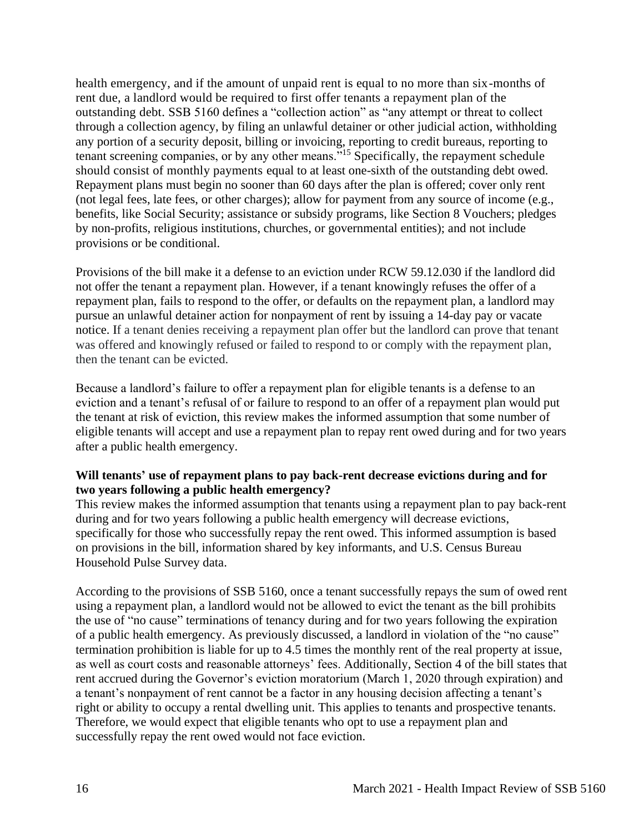health emergency, and if the amount of unpaid rent is equal to no more than six-months of rent due, a landlord would be required to first offer tenants a repayment plan of the outstanding debt. SSB 5160 defines a "collection action" as "any attempt or threat to collect through a collection agency, by filing an unlawful detainer or other judicial action, withholding any portion of a security deposit, billing or invoicing, reporting to credit bureaus, reporting to tenant screening companies, or by any other means."<sup>15</sup> Specifically, the repayment schedule should consist of monthly payments equal to at least one-sixth of the outstanding debt owed. Repayment plans must begin no sooner than 60 days after the plan is offered; cover only rent (not legal fees, late fees, or other charges); allow for payment from any source of income (e.g., benefits, like Social Security; assistance or subsidy programs, like Section 8 Vouchers; pledges by non-profits, religious institutions, churches, or governmental entities); and not include provisions or be conditional.

Provisions of the bill make it a defense to an eviction under RCW 59.12.030 if the landlord did not offer the tenant a repayment plan. However, if a tenant knowingly refuses the offer of a repayment plan, fails to respond to the offer, or defaults on the repayment plan, a landlord may pursue an unlawful detainer action for nonpayment of rent by issuing a 14-day pay or vacate notice. If a tenant denies receiving a repayment plan offer but the landlord can prove that tenant was offered and knowingly refused or failed to respond to or comply with the repayment plan, then the tenant can be evicted.

Because a landlord's failure to offer a repayment plan for eligible tenants is a defense to an eviction and a tenant's refusal of or failure to respond to an offer of a repayment plan would put the tenant at risk of eviction, this review makes the informed assumption that some number of eligible tenants will accept and use a repayment plan to repay rent owed during and for two years after a public health emergency.

### **Will tenants' use of repayment plans to pay back-rent decrease evictions during and for two years following a public health emergency?**

This review makes the informed assumption that tenants using a repayment plan to pay back-rent during and for two years following a public health emergency will decrease evictions, specifically for those who successfully repay the rent owed. This informed assumption is based on provisions in the bill, information shared by key informants, and U.S. Census Bureau Household Pulse Survey data.

According to the provisions of SSB 5160, once a tenant successfully repays the sum of owed rent using a repayment plan, a landlord would not be allowed to evict the tenant as the bill prohibits the use of "no cause" terminations of tenancy during and for two years following the expiration of a public health emergency. As previously discussed, a landlord in violation of the "no cause" termination prohibition is liable for up to 4.5 times the monthly rent of the real property at issue, as well as court costs and reasonable attorneys' fees. Additionally, Section 4 of the bill states that rent accrued during the Governor's eviction moratorium (March 1, 2020 through expiration) and a tenant's nonpayment of rent cannot be a factor in any housing decision affecting a tenant's right or ability to occupy a rental dwelling unit. This applies to tenants and prospective tenants. Therefore, we would expect that eligible tenants who opt to use a repayment plan and successfully repay the rent owed would not face eviction.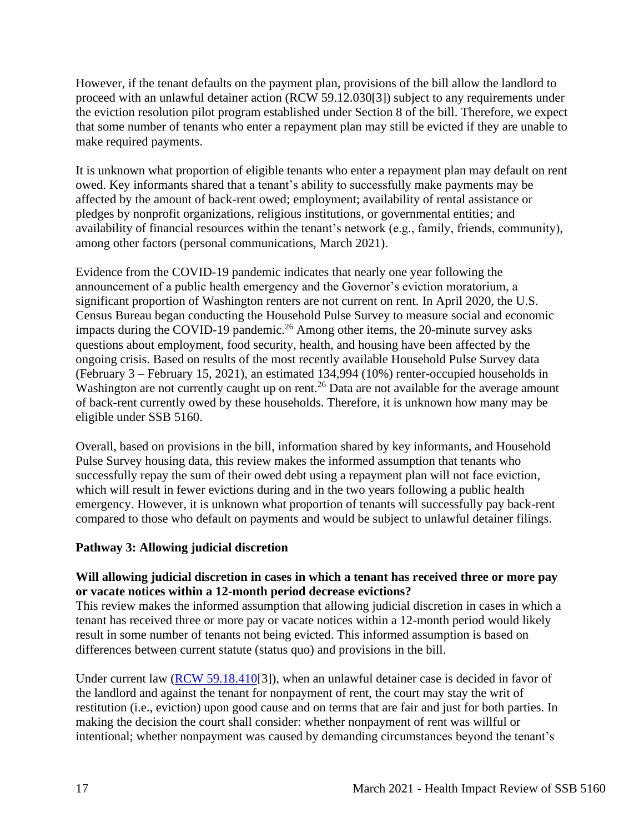However, if the tenant defaults on the payment plan, provisions of the bill allow the landlord to proceed with an unlawful detainer action (RCW 59.12.030[3]) subject to any requirements under the eviction resolution pilot program established under Section 8 of the bill. Therefore, we expect that some number of tenants who enter a repayment plan may still be evicted if they are unable to make required payments.

It is unknown what proportion of eligible tenants who enter a repayment plan may default on rent owed. Key informants shared that a tenant's ability to successfully make payments may be affected by the amount of back-rent owed; employment; availability of rental assistance or pledges by nonprofit organizations, religious institutions, or governmental entities; and availability of financial resources within the tenant's network (e.g., family, friends, community), among other factors (personal communications, March 2021).

Evidence from the COVID-19 pandemic indicates that nearly one year following the announcement of a public health emergency and the Governor's eviction moratorium, a significant proportion of Washington renters are not current on rent. In April 2020, the U.S. Census Bureau began conducting the Household Pulse Survey to measure social and economic impacts during the COVID-19 pandemic.<sup>26</sup> Among other items, the 20-minute survey asks questions about employment, food security, health, and housing have been affected by the ongoing crisis. Based on results of the most recently available Household Pulse Survey data (February 3 – February 15, 2021), an estimated 134,994 (10%) renter-occupied households in Washington are not currently caught up on rent.<sup>26</sup> Data are not available for the average amount of back-rent currently owed by these households. Therefore, it is unknown how many may be eligible under SSB 5160.

Overall, based on provisions in the bill, information shared by key informants, and Household Pulse Survey housing data, this review makes the informed assumption that tenants who successfully repay the sum of their owed debt using a repayment plan will not face eviction, which will result in fewer evictions during and in the two years following a public health emergency. However, it is unknown what proportion of tenants will successfully pay back-rent compared to those who default on payments and would be subject to unlawful detainer filings.

# **Pathway 3: Allowing judicial discretion**

# **Will allowing judicial discretion in cases in which a tenant has received three or more pay or vacate notices within a 12-month period decrease evictions?**

This review makes the informed assumption that allowing judicial discretion in cases in which a tenant has received three or more pay or vacate notices within a 12-month period would likely result in some number of tenants not being evicted. This informed assumption is based on differences between current statute (status quo) and provisions in the bill.

Under current law [\(RCW 59.18.410\[](https://app.leg.wa.gov/rcw/default.aspx?cite=59.18.410)3]), when an unlawful detainer case is decided in favor of the landlord and against the tenant for nonpayment of rent, the court may stay the writ of restitution (i.e., eviction) upon good cause and on terms that are fair and just for both parties. In making the decision the court shall consider: whether nonpayment of rent was willful or intentional; whether nonpayment was caused by demanding circumstances beyond the tenant's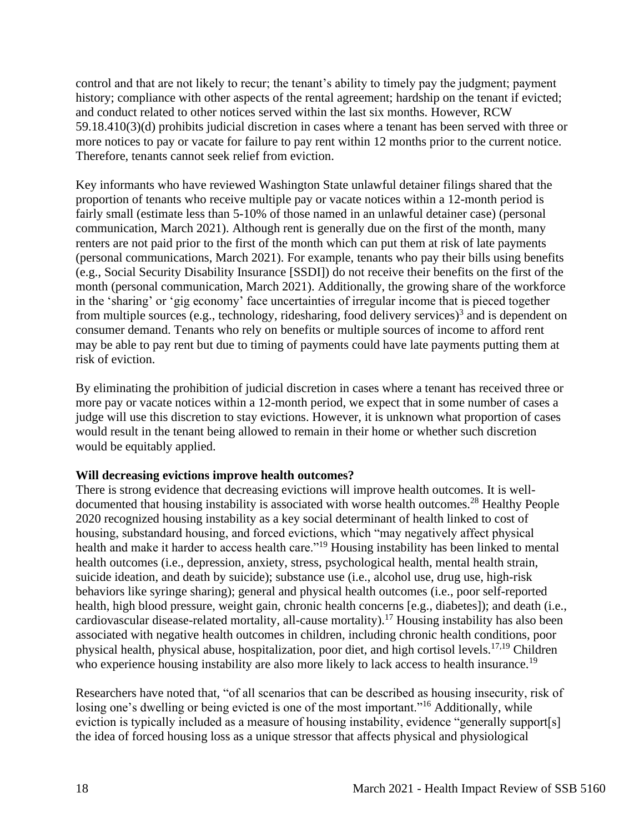control and that are not likely to recur; the tenant's ability to timely pay the judgment; payment history; compliance with other aspects of the rental agreement; hardship on the tenant if evicted; and conduct related to other notices served within the last six months. However, RCW 59.18.410(3)(d) prohibits judicial discretion in cases where a tenant has been served with three or more notices to pay or vacate for failure to pay rent within 12 months prior to the current notice. Therefore, tenants cannot seek relief from eviction.

Key informants who have reviewed Washington State unlawful detainer filings shared that the proportion of tenants who receive multiple pay or vacate notices within a 12-month period is fairly small (estimate less than 5-10% of those named in an unlawful detainer case) (personal communication, March 2021). Although rent is generally due on the first of the month, many renters are not paid prior to the first of the month which can put them at risk of late payments (personal communications, March 2021). For example, tenants who pay their bills using benefits (e.g., Social Security Disability Insurance [SSDI]) do not receive their benefits on the first of the month (personal communication, March 2021). Additionally, the growing share of the workforce in the 'sharing' or 'gig economy' face uncertainties of irregular income that is pieced together from multiple sources (e.g., technology, ridesharing, food delivery services)<sup>3</sup> and is dependent on consumer demand. Tenants who rely on benefits or multiple sources of income to afford rent may be able to pay rent but due to timing of payments could have late payments putting them at risk of eviction.

By eliminating the prohibition of judicial discretion in cases where a tenant has received three or more pay or vacate notices within a 12-month period, we expect that in some number of cases a judge will use this discretion to stay evictions. However, it is unknown what proportion of cases would result in the tenant being allowed to remain in their home or whether such discretion would be equitably applied.

# **Will decreasing evictions improve health outcomes?**

There is strong evidence that decreasing evictions will improve health outcomes. It is welldocumented that housing instability is associated with worse health outcomes.<sup>28</sup> Healthy People 2020 recognized housing instability as a key social determinant of health linked to cost of housing, substandard housing, and forced evictions, which "may negatively affect physical health and make it harder to access health care."<sup>19</sup> Housing instability has been linked to mental health outcomes (i.e., depression, anxiety, stress, psychological health, mental health strain, suicide ideation, and death by suicide); substance use (i.e., alcohol use, drug use, high-risk behaviors like syringe sharing); general and physical health outcomes (i.e., poor self-reported health, high blood pressure, weight gain, chronic health concerns [e.g., diabetes]); and death (i.e., cardiovascular disease-related mortality, all-cause mortality).<sup>17</sup> Housing instability has also been associated with negative health outcomes in children, including chronic health conditions, poor physical health, physical abuse, hospitalization, poor diet, and high cortisol levels.17,19 Children who experience housing instability are also more likely to lack access to health insurance.<sup>19</sup>

Researchers have noted that, "of all scenarios that can be described as housing insecurity, risk of losing one's dwelling or being evicted is one of the most important."<sup>16</sup> Additionally, while eviction is typically included as a measure of housing instability, evidence "generally support[s] the idea of forced housing loss as a unique stressor that affects physical and physiological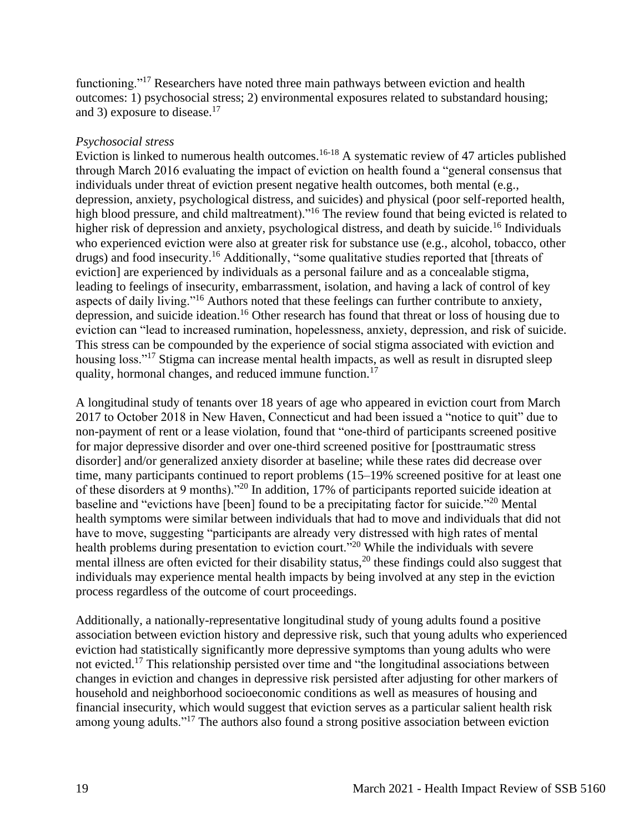functioning."<sup>17</sup> Researchers have noted three main pathways between eviction and health outcomes: 1) psychosocial stress; 2) environmental exposures related to substandard housing; and 3) exposure to disease.<sup>17</sup>

### *Psychosocial stress*

Eviction is linked to numerous health outcomes.<sup>16-18</sup> A systematic review of 47 articles published through March 2016 evaluating the impact of eviction on health found a "general consensus that individuals under threat of eviction present negative health outcomes, both mental (e.g., depression, anxiety, psychological distress, and suicides) and physical (poor self-reported health, high blood pressure, and child maltreatment)."<sup>16</sup> The review found that being evicted is related to higher risk of depression and anxiety, psychological distress, and death by suicide.<sup>16</sup> Individuals who experienced eviction were also at greater risk for substance use (e.g., alcohol, tobacco, other drugs) and food insecurity.<sup>16</sup> Additionally, "some qualitative studies reported that [threats of eviction] are experienced by individuals as a personal failure and as a concealable stigma, leading to feelings of insecurity, embarrassment, isolation, and having a lack of control of key aspects of daily living."<sup>16</sup> Authors noted that these feelings can further contribute to anxiety, depression, and suicide ideation.<sup>16</sup> Other research has found that threat or loss of housing due to eviction can "lead to increased rumination, hopelessness, anxiety, depression, and risk of suicide. This stress can be compounded by the experience of social stigma associated with eviction and housing loss."<sup>17</sup> Stigma can increase mental health impacts, as well as result in disrupted sleep quality, hormonal changes, and reduced immune function.<sup>17</sup>

A longitudinal study of tenants over 18 years of age who appeared in eviction court from March 2017 to October 2018 in New Haven, Connecticut and had been issued a "notice to quit" due to non-payment of rent or a lease violation, found that "one-third of participants screened positive for major depressive disorder and over one-third screened positive for [posttraumatic stress disorder] and/or generalized anxiety disorder at baseline; while these rates did decrease over time, many participants continued to report problems (15–19% screened positive for at least one of these disorders at 9 months)."<sup>20</sup> In addition, 17% of participants reported suicide ideation at baseline and "evictions have [been] found to be a precipitating factor for suicide."<sup>20</sup> Mental health symptoms were similar between individuals that had to move and individuals that did not have to move, suggesting "participants are already very distressed with high rates of mental health problems during presentation to eviction court.<sup>"20</sup> While the individuals with severe mental illness are often evicted for their disability status,<sup>20</sup> these findings could also suggest that individuals may experience mental health impacts by being involved at any step in the eviction process regardless of the outcome of court proceedings.

Additionally, a nationally-representative longitudinal study of young adults found a positive association between eviction history and depressive risk, such that young adults who experienced eviction had statistically significantly more depressive symptoms than young adults who were not evicted.<sup>17</sup> This relationship persisted over time and "the longitudinal associations between changes in eviction and changes in depressive risk persisted after adjusting for other markers of household and neighborhood socioeconomic conditions as well as measures of housing and financial insecurity, which would suggest that eviction serves as a particular salient health risk among young adults."<sup>17</sup> The authors also found a strong positive association between eviction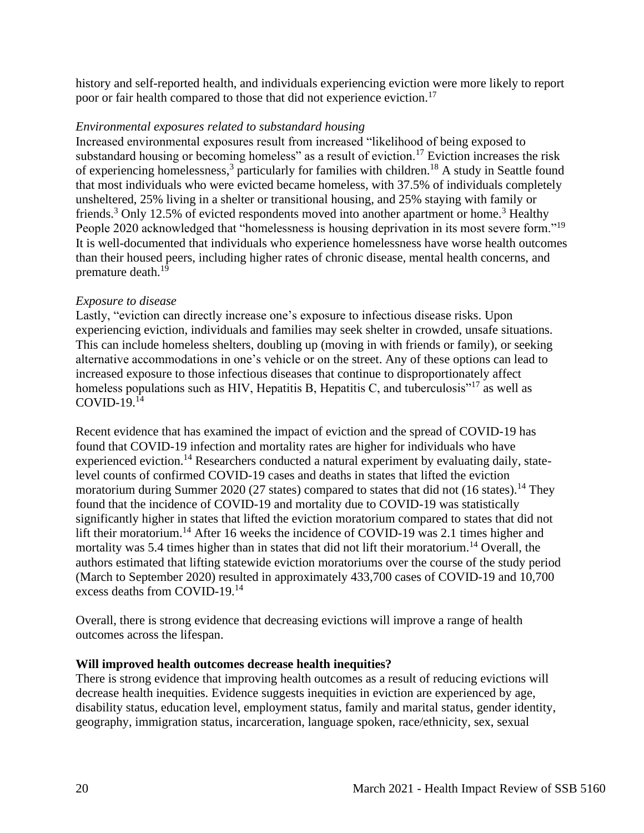history and self-reported health, and individuals experiencing eviction were more likely to report poor or fair health compared to those that did not experience eviction.<sup>17</sup>

### *Environmental exposures related to substandard housing*

Increased environmental exposures result from increased "likelihood of being exposed to substandard housing or becoming homeless" as a result of eviction.<sup>17</sup> Eviction increases the risk of experiencing homelessness,<sup>3</sup> particularly for families with children.<sup>18</sup> A study in Seattle found that most individuals who were evicted became homeless, with 37.5% of individuals completely unsheltered, 25% living in a shelter or transitional housing, and 25% staying with family or friends.<sup>3</sup> Only 12.5% of evicted respondents moved into another apartment or home.<sup>3</sup> Healthy People 2020 acknowledged that "homelessness is housing deprivation in its most severe form."<sup>19</sup> It is well-documented that individuals who experience homelessness have worse health outcomes than their housed peers, including higher rates of chronic disease, mental health concerns, and premature death.<sup>19</sup>

### *Exposure to disease*

Lastly, "eviction can directly increase one's exposure to infectious disease risks. Upon experiencing eviction, individuals and families may seek shelter in crowded, unsafe situations. This can include homeless shelters, doubling up (moving in with friends or family), or seeking alternative accommodations in one's vehicle or on the street. Any of these options can lead to increased exposure to those infectious diseases that continue to disproportionately affect homeless populations such as HIV, Hepatitis B, Hepatitis C, and tuberculosis<sup> $17$ </sup> as well as COVID- $19.14$ 

Recent evidence that has examined the impact of eviction and the spread of COVID-19 has found that COVID-19 infection and mortality rates are higher for individuals who have experienced eviction.<sup>14</sup> Researchers conducted a natural experiment by evaluating daily, statelevel counts of confirmed COVID-19 cases and deaths in states that lifted the eviction moratorium during Summer 2020 (27 states) compared to states that did not (16 states).<sup>14</sup> They found that the incidence of COVID-19 and mortality due to COVID-19 was statistically significantly higher in states that lifted the eviction moratorium compared to states that did not lift their moratorium.<sup>14</sup> After 16 weeks the incidence of COVID-19 was 2.1 times higher and mortality was 5.4 times higher than in states that did not lift their moratorium.<sup>14</sup> Overall, the authors estimated that lifting statewide eviction moratoriums over the course of the study period (March to September 2020) resulted in approximately 433,700 cases of COVID-19 and 10,700 excess deaths from COVID-19.<sup>14</sup>

Overall, there is strong evidence that decreasing evictions will improve a range of health outcomes across the lifespan.

### **Will improved health outcomes decrease health inequities?**

There is strong evidence that improving health outcomes as a result of reducing evictions will decrease health inequities. Evidence suggests inequities in eviction are experienced by age, disability status, education level, employment status, family and marital status, gender identity, geography, immigration status, incarceration, language spoken, race/ethnicity, sex, sexual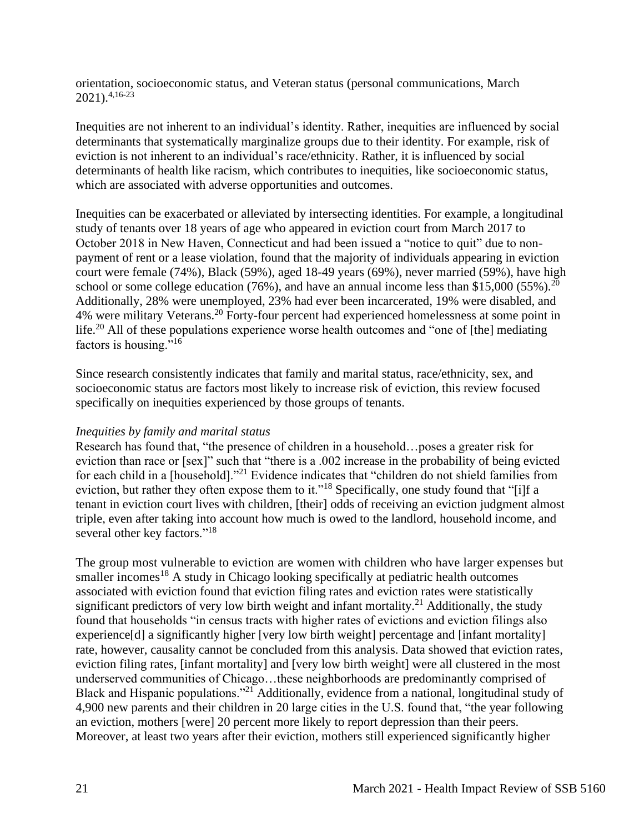orientation, socioeconomic status, and Veteran status (personal communications, March  $2021$ ).<sup>4,16-23</sup>

Inequities are not inherent to an individual's identity. Rather, inequities are influenced by social determinants that systematically marginalize groups due to their identity. For example, risk of eviction is not inherent to an individual's race/ethnicity. Rather, it is influenced by social determinants of health like racism, which contributes to inequities, like socioeconomic status, which are associated with adverse opportunities and outcomes.

Inequities can be exacerbated or alleviated by intersecting identities. For example, a longitudinal study of tenants over 18 years of age who appeared in eviction court from March 2017 to October 2018 in New Haven, Connecticut and had been issued a "notice to quit" due to nonpayment of rent or a lease violation, found that the majority of individuals appearing in eviction court were female (74%), Black (59%), aged 18-49 years (69%), never married (59%), have high school or some college education  $(76%)$ , and have an annual income less than \$15,000 (55%).<sup>20</sup> Additionally, 28% were unemployed, 23% had ever been incarcerated, 19% were disabled, and 4% were military Veterans.<sup>20</sup> Forty-four percent had experienced homelessness at some point in life.<sup>20</sup> All of these populations experience worse health outcomes and "one of [the] mediating factors is housing."<sup>16</sup>

Since research consistently indicates that family and marital status, race/ethnicity, sex, and socioeconomic status are factors most likely to increase risk of eviction, this review focused specifically on inequities experienced by those groups of tenants.

### *Inequities by family and marital status*

Research has found that, "the presence of children in a household…poses a greater risk for eviction than race or [sex]" such that "there is a .002 increase in the probability of being evicted for each child in a [household]."<sup>21</sup> Evidence indicates that "children do not shield families from eviction, but rather they often expose them to it."<sup>18</sup> Specifically, one study found that "[i]f a tenant in eviction court lives with children, [their] odds of receiving an eviction judgment almost triple, even after taking into account how much is owed to the landlord, household income, and several other key factors."<sup>18</sup>

The group most vulnerable to eviction are women with children who have larger expenses but smaller incomes<sup>18</sup> A study in Chicago looking specifically at pediatric health outcomes associated with eviction found that eviction filing rates and eviction rates were statistically significant predictors of very low birth weight and infant mortality.<sup>21</sup> Additionally, the study found that households "in census tracts with higher rates of evictions and eviction filings also experience[d] a significantly higher [very low birth weight] percentage and [infant mortality] rate, however, causality cannot be concluded from this analysis. Data showed that eviction rates, eviction filing rates, [infant mortality] and [very low birth weight] were all clustered in the most underserved communities of Chicago…these neighborhoods are predominantly comprised of Black and Hispanic populations."<sup>21</sup> Additionally, evidence from a national, longitudinal study of 4,900 new parents and their children in 20 large cities in the U.S. found that, "the year following an eviction, mothers [were] 20 percent more likely to report depression than their peers. Moreover, at least two years after their eviction, mothers still experienced significantly higher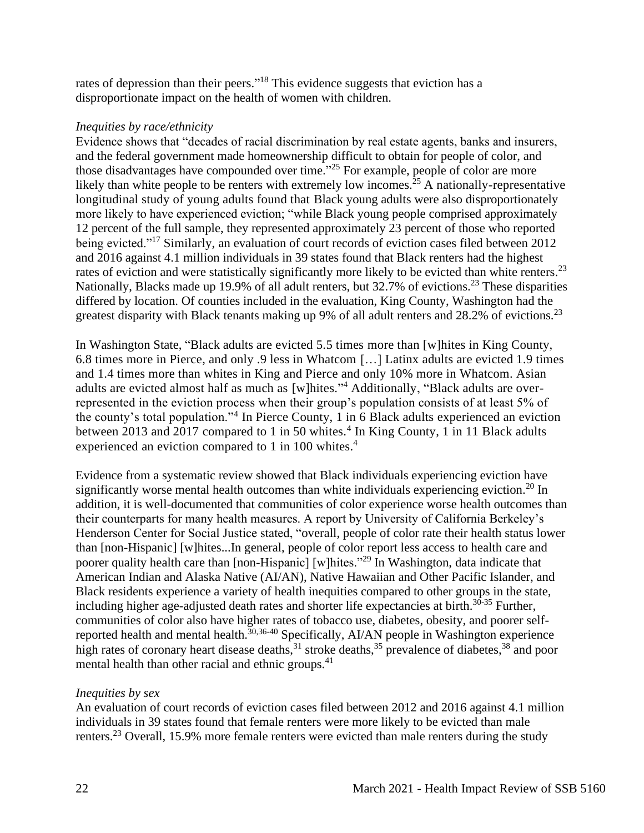rates of depression than their peers."<sup>18</sup> This evidence suggests that eviction has a disproportionate impact on the health of women with children.

### *Inequities by race/ethnicity*

Evidence shows that "decades of racial discrimination by real estate agents, banks and insurers, and the federal government made homeownership difficult to obtain for people of color, and those disadvantages have compounded over time."<sup>25</sup> For example, people of color are more likely than white people to be renters with extremely low incomes.<sup>25</sup> A nationally-representative longitudinal study of young adults found that Black young adults were also disproportionately more likely to have experienced eviction; "while Black young people comprised approximately 12 percent of the full sample, they represented approximately 23 percent of those who reported being evicted."<sup>17</sup> Similarly, an evaluation of court records of eviction cases filed between 2012 and 2016 against 4.1 million individuals in 39 states found that Black renters had the highest rates of eviction and were statistically significantly more likely to be evicted than white renters.<sup>23</sup> Nationally, Blacks made up 19.9% of all adult renters, but 32.7% of evictions.<sup>23</sup> These disparities differed by location. Of counties included in the evaluation, King County, Washington had the greatest disparity with Black tenants making up 9% of all adult renters and 28.2% of evictions.<sup>23</sup>

In Washington State, "Black adults are evicted 5.5 times more than [w]hites in King County, 6.8 times more in Pierce, and only .9 less in Whatcom […] Latinx adults are evicted 1.9 times and 1.4 times more than whites in King and Pierce and only 10% more in Whatcom. Asian adults are evicted almost half as much as [w]hites." <sup>4</sup> Additionally, "Black adults are overrepresented in the eviction process when their group's population consists of at least 5% of the county's total population."<sup>4</sup> In Pierce County, 1 in 6 Black adults experienced an eviction between 2013 and 2017 compared to 1 in 50 whites.<sup>4</sup> In King County, 1 in 11 Black adults experienced an eviction compared to 1 in 100 whites.<sup>4</sup>

Evidence from a systematic review showed that Black individuals experiencing eviction have significantly worse mental health outcomes than white individuals experiencing eviction.<sup>20</sup> In addition, it is well-documented that communities of color experience worse health outcomes than their counterparts for many health measures. A report by University of California Berkeley's Henderson Center for Social Justice stated, "overall, people of color rate their health status lower than [non-Hispanic] [w]hites...In general, people of color report less access to health care and poorer quality health care than [non-Hispanic] [w]hites."<sup>29</sup> In Washington, data indicate that American Indian and Alaska Native (AI/AN), Native Hawaiian and Other Pacific Islander, and Black residents experience a variety of health inequities compared to other groups in the state, including higher age-adjusted death rates and shorter life expectancies at birth.<sup>30-35</sup> Further, communities of color also have higher rates of tobacco use, diabetes, obesity, and poorer selfreported health and mental health.<sup>30,36-40</sup> Specifically, AI/AN people in Washington experience high rates of coronary heart disease deaths,  $31$  stroke deaths,  $35$  prevalence of diabetes,  $38$  and poor mental health than other racial and ethnic groups.<sup>41</sup>

# *Inequities by sex*

An evaluation of court records of eviction cases filed between 2012 and 2016 against 4.1 million individuals in 39 states found that female renters were more likely to be evicted than male renters.<sup>23</sup> Overall, 15.9% more female renters were evicted than male renters during the study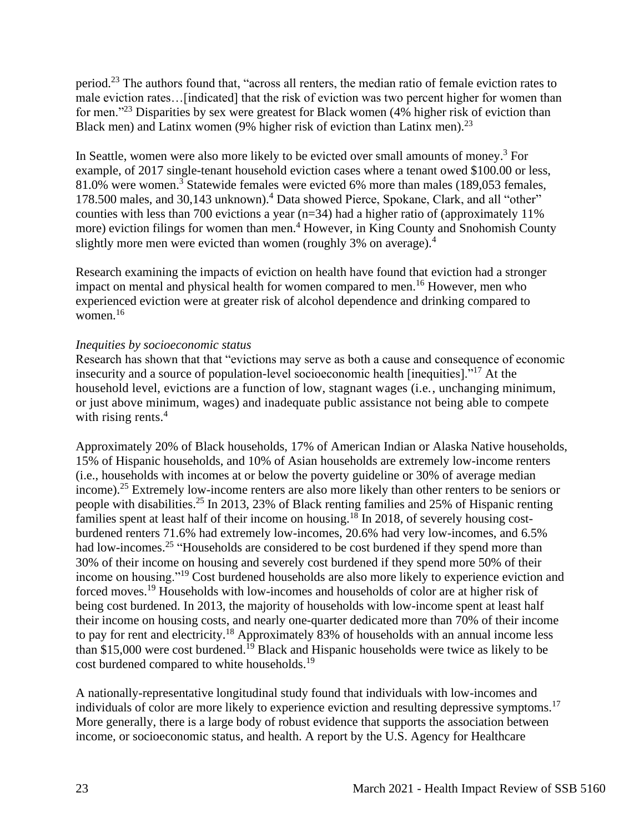period.<sup>23</sup> The authors found that, "across all renters, the median ratio of female eviction rates to male eviction rates…[indicated] that the risk of eviction was two percent higher for women than for men."<sup>23</sup> Disparities by sex were greatest for Black women (4% higher risk of eviction than Black men) and Latinx women (9% higher risk of eviction than Latinx men).<sup>23</sup>

In Seattle, women were also more likely to be evicted over small amounts of money.<sup>3</sup> For example, of 2017 single-tenant household eviction cases where a tenant owed \$100.00 or less, 81.0% were women.<sup>3</sup> Statewide females were evicted 6% more than males (189,053 females, 178.500 males, and 30,143 unknown).<sup>4</sup> Data showed Pierce, Spokane, Clark, and all "other" counties with less than 700 evictions a year ( $n=34$ ) had a higher ratio of (approximately 11%) more) eviction filings for women than men.<sup>4</sup> However, in King County and Snohomish County slightly more men were evicted than women (roughly 3% on average).<sup>4</sup>

Research examining the impacts of eviction on health have found that eviction had a stronger impact on mental and physical health for women compared to men.<sup>16</sup> However, men who experienced eviction were at greater risk of alcohol dependence and drinking compared to women. $16$ 

### *Inequities by socioeconomic status*

Research has shown that that "evictions may serve as both a cause and consequence of economic insecurity and a source of population-level socioeconomic health [inequities]."<sup>17</sup> At the household level, evictions are a function of low, stagnant wages (i.e., unchanging minimum, or just above minimum, wages) and inadequate public assistance not being able to compete with rising rents. $4$ 

Approximately 20% of Black households, 17% of American Indian or Alaska Native households, 15% of Hispanic households, and 10% of Asian households are extremely low-income renters (i.e., households with incomes at or below the poverty guideline or 30% of average median income).<sup>25</sup> Extremely low-income renters are also more likely than other renters to be seniors or people with disabilities.<sup>25</sup> In 2013, 23% of Black renting families and 25% of Hispanic renting families spent at least half of their income on housing.<sup>18</sup> In 2018, of severely housing costburdened renters 71.6% had extremely low-incomes, 20.6% had very low-incomes, and 6.5% had low-incomes.<sup>25</sup> "Households are considered to be cost burdened if they spend more than 30% of their income on housing and severely cost burdened if they spend more 50% of their income on housing."<sup>19</sup> Cost burdened households are also more likely to experience eviction and forced moves.<sup>19</sup> Households with low-incomes and households of color are at higher risk of being cost burdened. In 2013, the majority of households with low-income spent at least half their income on housing costs, and nearly one-quarter dedicated more than 70% of their income to pay for rent and electricity.<sup>18</sup> Approximately 83% of households with an annual income less than \$15,000 were cost burdened.<sup>19</sup> Black and Hispanic households were twice as likely to be cost burdened compared to white households.<sup>19</sup>

A nationally-representative longitudinal study found that individuals with low-incomes and individuals of color are more likely to experience eviction and resulting depressive symptoms.<sup>17</sup> More generally, there is a large body of robust evidence that supports the association between income, or socioeconomic status, and health. A report by the U.S. Agency for Healthcare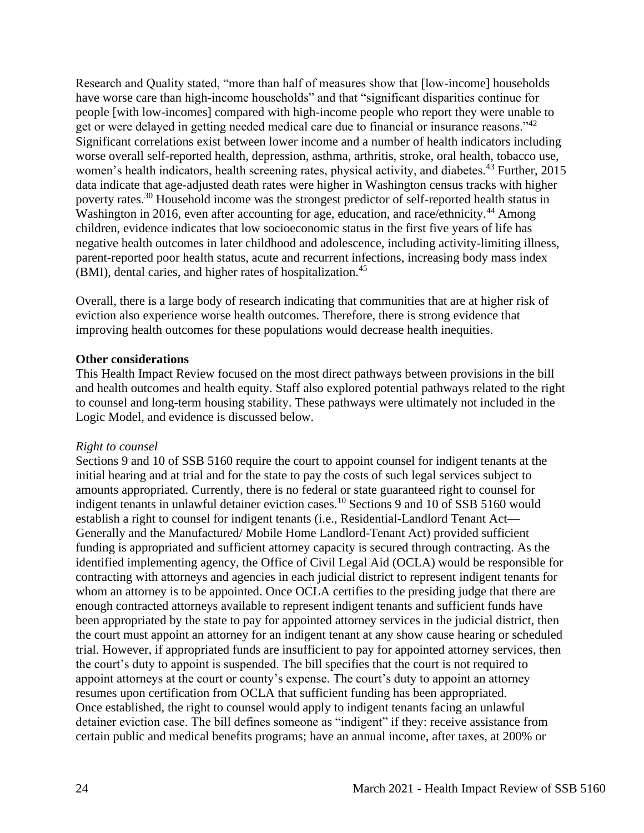Research and Quality stated, "more than half of measures show that [low-income] households have worse care than high-income households" and that "significant disparities continue for people [with low-incomes] compared with high-income people who report they were unable to get or were delayed in getting needed medical care due to financial or insurance reasons."<sup>42</sup> Significant correlations exist between lower income and a number of health indicators including worse overall self-reported health, depression, asthma, arthritis, stroke, oral health, tobacco use, women's health indicators, health screening rates, physical activity, and diabetes.<sup>43</sup> Further, 2015 data indicate that age-adjusted death rates were higher in Washington census tracks with higher poverty rates.<sup>30</sup> Household income was the strongest predictor of self-reported health status in Washington in 2016, even after accounting for age, education, and race/ethnicity.<sup>44</sup> Among children, evidence indicates that low socioeconomic status in the first five years of life has negative health outcomes in later childhood and adolescence, including activity-limiting illness, parent-reported poor health status, acute and recurrent infections, increasing body mass index (BMI), dental caries, and higher rates of hospitalization.<sup>45</sup>

Overall, there is a large body of research indicating that communities that are at higher risk of eviction also experience worse health outcomes. Therefore, there is strong evidence that improving health outcomes for these populations would decrease health inequities.

### <span id="page-23-0"></span>**Other considerations**

This Health Impact Review focused on the most direct pathways between provisions in the bill and health outcomes and health equity. Staff also explored potential pathways related to the right to counsel and long-term housing stability. These pathways were ultimately not included in the Logic Model, and evidence is discussed below.

#### *Right to counsel*

Sections 9 and 10 of SSB 5160 require the court to appoint counsel for indigent tenants at the initial hearing and at trial and for the state to pay the costs of such legal services subject to amounts appropriated. Currently, there is no federal or state guaranteed right to counsel for indigent tenants in unlawful detainer eviction cases.<sup>10</sup> Sections 9 and 10 of SSB 5160 would establish a right to counsel for indigent tenants (i.e., Residential-Landlord Tenant Act— Generally and the Manufactured/ Mobile Home Landlord-Tenant Act) provided sufficient funding is appropriated and sufficient attorney capacity is secured through contracting. As the identified implementing agency, the Office of Civil Legal Aid (OCLA) would be responsible for contracting with attorneys and agencies in each judicial district to represent indigent tenants for whom an attorney is to be appointed. Once OCLA certifies to the presiding judge that there are enough contracted attorneys available to represent indigent tenants and sufficient funds have been appropriated by the state to pay for appointed attorney services in the judicial district, then the court must appoint an attorney for an indigent tenant at any show cause hearing or scheduled trial. However, if appropriated funds are insufficient to pay for appointed attorney services, then the court's duty to appoint is suspended. The bill specifies that the court is not required to appoint attorneys at the court or county's expense. The court's duty to appoint an attorney resumes upon certification from OCLA that sufficient funding has been appropriated. Once established, the right to counsel would apply to indigent tenants facing an unlawful detainer eviction case. The bill defines someone as "indigent" if they: receive assistance from certain public and medical benefits programs; have an annual income, after taxes, at 200% or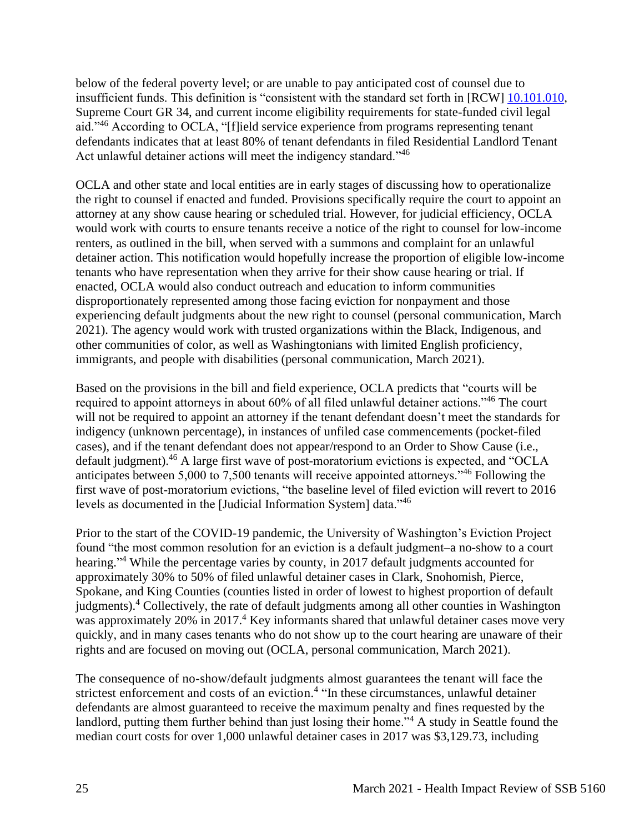below of the federal poverty level; or are unable to pay anticipated cost of counsel due to insufficient funds. This definition is "consistent with the standard set forth in [RCW] [10.101.010,](https://app.leg.wa.gov/rcw/default.aspx?cite=10.101.010) Supreme Court GR 34, and current income eligibility requirements for state-funded civil legal aid."<sup>46</sup> According to OCLA, "[f]ield service experience from programs representing tenant defendants indicates that at least 80% of tenant defendants in filed Residential Landlord Tenant Act unlawful detainer actions will meet the indigency standard."<sup>46</sup>

OCLA and other state and local entities are in early stages of discussing how to operationalize the right to counsel if enacted and funded. Provisions specifically require the court to appoint an attorney at any show cause hearing or scheduled trial. However, for judicial efficiency, OCLA would work with courts to ensure tenants receive a notice of the right to counsel for low-income renters, as outlined in the bill, when served with a summons and complaint for an unlawful detainer action. This notification would hopefully increase the proportion of eligible low-income tenants who have representation when they arrive for their show cause hearing or trial. If enacted, OCLA would also conduct outreach and education to inform communities disproportionately represented among those facing eviction for nonpayment and those experiencing default judgments about the new right to counsel (personal communication, March 2021). The agency would work with trusted organizations within the Black, Indigenous, and other communities of color, as well as Washingtonians with limited English proficiency, immigrants, and people with disabilities (personal communication, March 2021).

Based on the provisions in the bill and field experience, OCLA predicts that "courts will be required to appoint attorneys in about 60% of all filed unlawful detainer actions."<sup>46</sup> The court will not be required to appoint an attorney if the tenant defendant doesn't meet the standards for indigency (unknown percentage), in instances of unfiled case commencements (pocket-filed cases), and if the tenant defendant does not appear/respond to an Order to Show Cause (i.e., default judgment). <sup>46</sup> A large first wave of post-moratorium evictions is expected, and "OCLA anticipates between 5,000 to 7,500 tenants will receive appointed attorneys."<sup>46</sup> Following the first wave of post-moratorium evictions, "the baseline level of filed eviction will revert to 2016 levels as documented in the [Judicial Information System] data."<sup>46</sup>

Prior to the start of the COVID-19 pandemic, the University of Washington's Eviction Project found "the most common resolution for an eviction is a default judgment–a no-show to a court hearing."<sup>4</sup> While the percentage varies by county, in 2017 default judgments accounted for approximately 30% to 50% of filed unlawful detainer cases in Clark, Snohomish, Pierce, Spokane, and King Counties (counties listed in order of lowest to highest proportion of default judgments).<sup>4</sup> Collectively, the rate of default judgments among all other counties in Washington was approximately 20% in 2017.<sup>4</sup> Key informants shared that unlawful detainer cases move very quickly, and in many cases tenants who do not show up to the court hearing are unaware of their rights and are focused on moving out (OCLA, personal communication, March 2021).

The consequence of no-show/default judgments almost guarantees the tenant will face the strictest enforcement and costs of an eviction.<sup>4</sup> "In these circumstances, unlawful detainer defendants are almost guaranteed to receive the maximum penalty and fines requested by the landlord, putting them further behind than just losing their home."<sup>4</sup> A study in Seattle found the median court costs for over 1,000 unlawful detainer cases in 2017 was \$3,129.73, including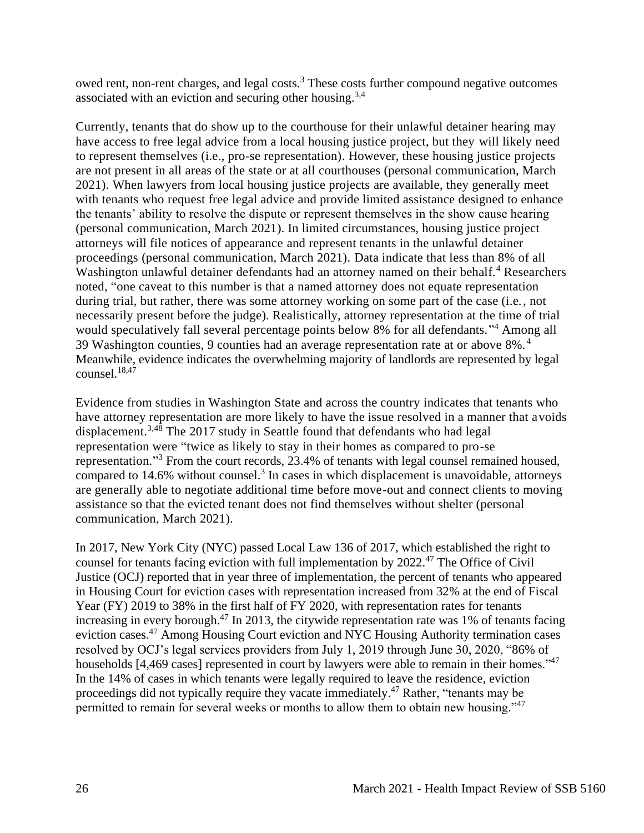owed rent, non-rent charges, and legal costs.<sup>3</sup> These costs further compound negative outcomes associated with an eviction and securing other housing.<sup>3,4</sup>

Currently, tenants that do show up to the courthouse for their unlawful detainer hearing may have access to free legal advice from a local housing justice project, but they will likely need to represent themselves (i.e., pro-se representation). However, these housing justice projects are not present in all areas of the state or at all courthouses (personal communication, March 2021). When lawyers from local housing justice projects are available, they generally meet with tenants who request free legal advice and provide limited assistance designed to enhance the tenants' ability to resolve the dispute or represent themselves in the show cause hearing (personal communication, March 2021). In limited circumstances, housing justice project attorneys will file notices of appearance and represent tenants in the unlawful detainer proceedings (personal communication, March 2021). Data indicate that less than 8% of all Washington unlawful detainer defendants had an attorney named on their behalf.<sup>4</sup> Researchers noted, "one caveat to this number is that a named attorney does not equate representation during trial, but rather, there was some attorney working on some part of the case (i.e., not necessarily present before the judge). Realistically, attorney representation at the time of trial would speculatively fall several percentage points below 8% for all defendants." <sup>4</sup> Among all 39 Washington counties, 9 counties had an average representation rate at or above 8%. <sup>4</sup> Meanwhile, evidence indicates the overwhelming majority of landlords are represented by legal counsel. $18,47$ 

Evidence from studies in Washington State and across the country indicates that tenants who have attorney representation are more likely to have the issue resolved in a manner that avoids displacement.3,48 The 2017 study in Seattle found that defendants who had legal representation were "twice as likely to stay in their homes as compared to pro-se representation."<sup>3</sup> From the court records, 23.4% of tenants with legal counsel remained housed, compared to 14.6% without counsel.<sup>3</sup> In cases in which displacement is unavoidable, attorneys are generally able to negotiate additional time before move-out and connect clients to moving assistance so that the evicted tenant does not find themselves without shelter (personal communication, March 2021).

In 2017, New York City (NYC) passed Local Law 136 of 2017, which established the right to counsel for tenants facing eviction with full implementation by 2022.<sup>47</sup> The Office of Civil Justice (OCJ) reported that in year three of implementation, the percent of tenants who appeared in Housing Court for eviction cases with representation increased from 32% at the end of Fiscal Year (FY) 2019 to 38% in the first half of FY 2020, with representation rates for tenants increasing in every borough.<sup>47</sup> In 2013, the citywide representation rate was 1% of tenants facing eviction cases.<sup>47</sup> Among Housing Court eviction and NYC Housing Authority termination cases resolved by OCJ's legal services providers from July 1, 2019 through June 30, 2020, "86% of households [4,469 cases] represented in court by lawyers were able to remain in their homes."<sup>47</sup> In the 14% of cases in which tenants were legally required to leave the residence, eviction proceedings did not typically require they vacate immediately.<sup>47</sup> Rather, "tenants may be permitted to remain for several weeks or months to allow them to obtain new housing."<sup>47</sup>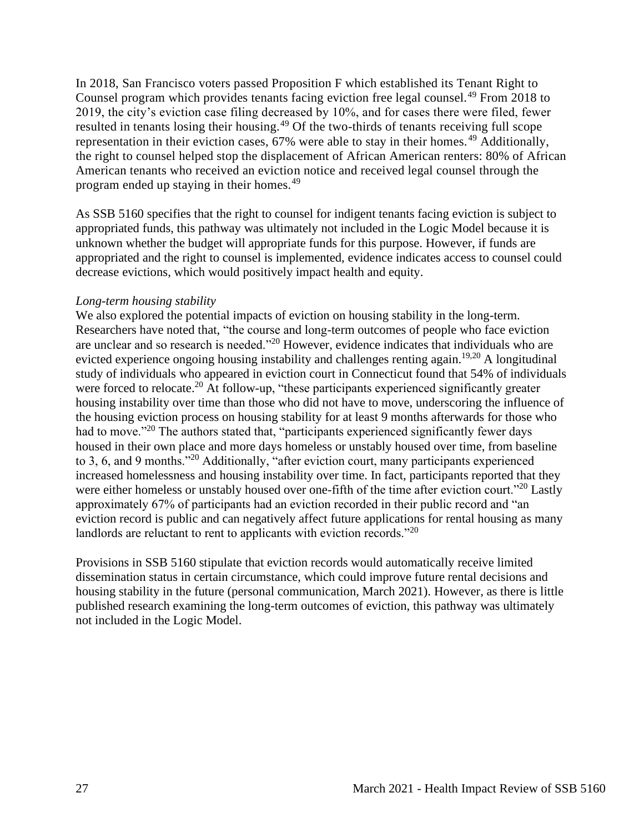In 2018, San Francisco voters passed Proposition F which established its Tenant Right to Counsel program which provides tenants facing eviction free legal counsel.<sup>49</sup> From 2018 to 2019, the city's eviction case filing decreased by 10%, and for cases there were filed, fewer resulted in tenants losing their housing.<sup>49</sup> Of the two-thirds of tenants receiving full scope representation in their eviction cases, 67% were able to stay in their homes. <sup>49</sup> Additionally, the right to counsel helped stop the displacement of African American renters: 80% of African American tenants who received an eviction notice and received legal counsel through the program ended up staying in their homes.<sup>49</sup>

As SSB 5160 specifies that the right to counsel for indigent tenants facing eviction is subject to appropriated funds, this pathway was ultimately not included in the Logic Model because it is unknown whether the budget will appropriate funds for this purpose. However, if funds are appropriated and the right to counsel is implemented, evidence indicates access to counsel could decrease evictions, which would positively impact health and equity.

#### *Long-term housing stability*

We also explored the potential impacts of eviction on housing stability in the long-term. Researchers have noted that, "the course and long-term outcomes of people who face eviction are unclear and so research is needed."<sup>20</sup> However, evidence indicates that individuals who are evicted experience ongoing housing instability and challenges renting again.<sup>19,20</sup> A longitudinal study of individuals who appeared in eviction court in Connecticut found that 54% of individuals were forced to relocate.<sup>20</sup> At follow-up, "these participants experienced significantly greater housing instability over time than those who did not have to move, underscoring the influence of the housing eviction process on housing stability for at least 9 months afterwards for those who had to move."<sup>20</sup> The authors stated that, "participants experienced significantly fewer days housed in their own place and more days homeless or unstably housed over time, from baseline to 3, 6, and 9 months."<sup>20</sup> Additionally, "after eviction court, many participants experienced increased homelessness and housing instability over time. In fact, participants reported that they were either homeless or unstably housed over one-fifth of the time after eviction court."<sup>20</sup> Lastly approximately 67% of participants had an eviction recorded in their public record and "an eviction record is public and can negatively affect future applications for rental housing as many landlords are reluctant to rent to applicants with eviction records."<sup>20</sup>

Provisions in SSB 5160 stipulate that eviction records would automatically receive limited dissemination status in certain circumstance, which could improve future rental decisions and housing stability in the future (personal communication, March 2021). However, as there is little published research examining the long-term outcomes of eviction, this pathway was ultimately not included in the Logic Model.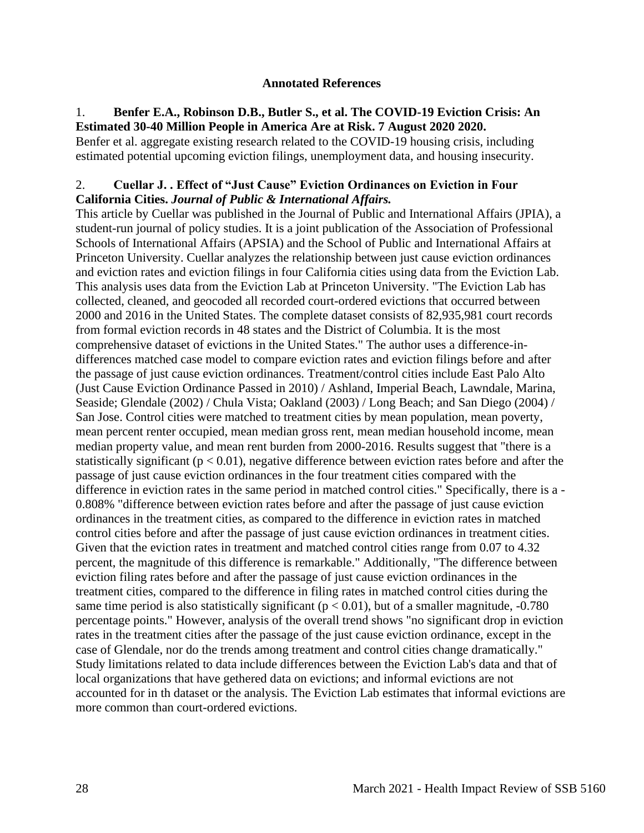#### **Annotated References**

### 1. **Benfer E.A., Robinson D.B., Butler S., et al. The COVID-19 Eviction Crisis: An Estimated 30-40 Million People in America Are at Risk. 7 August 2020 2020.**

Benfer et al. aggregate existing research related to the COVID-19 housing crisis, including estimated potential upcoming eviction filings, unemployment data, and housing insecurity.

# 2. **Cuellar J. . Effect of "Just Cause" Eviction Ordinances on Eviction in Four California Cities.** *Journal of Public & International Affairs.*

This article by Cuellar was published in the Journal of Public and International Affairs (JPIA), a student-run journal of policy studies. It is a joint publication of the Association of Professional Schools of International Affairs (APSIA) and the School of Public and International Affairs at Princeton University. Cuellar analyzes the relationship between just cause eviction ordinances and eviction rates and eviction filings in four California cities using data from the Eviction Lab. This analysis uses data from the Eviction Lab at Princeton University. "The Eviction Lab has collected, cleaned, and geocoded all recorded court-ordered evictions that occurred between 2000 and 2016 in the United States. The complete dataset consists of 82,935,981 court records from formal eviction records in 48 states and the District of Columbia. It is the most comprehensive dataset of evictions in the United States." The author uses a difference-indifferences matched case model to compare eviction rates and eviction filings before and after the passage of just cause eviction ordinances. Treatment/control cities include East Palo Alto (Just Cause Eviction Ordinance Passed in 2010) / Ashland, Imperial Beach, Lawndale, Marina, Seaside; Glendale (2002) / Chula Vista; Oakland (2003) / Long Beach; and San Diego (2004) / San Jose. Control cities were matched to treatment cities by mean population, mean poverty, mean percent renter occupied, mean median gross rent, mean median household income, mean median property value, and mean rent burden from 2000-2016. Results suggest that "there is a statistically significant ( $p < 0.01$ ), negative difference between eviction rates before and after the passage of just cause eviction ordinances in the four treatment cities compared with the difference in eviction rates in the same period in matched control cities." Specifically, there is a - 0.808% "difference between eviction rates before and after the passage of just cause eviction ordinances in the treatment cities, as compared to the difference in eviction rates in matched control cities before and after the passage of just cause eviction ordinances in treatment cities. Given that the eviction rates in treatment and matched control cities range from 0.07 to 4.32 percent, the magnitude of this difference is remarkable." Additionally, "The difference between eviction filing rates before and after the passage of just cause eviction ordinances in the treatment cities, compared to the difference in filing rates in matched control cities during the same time period is also statistically significant ( $p < 0.01$ ), but of a smaller magnitude,  $-0.780$ percentage points." However, analysis of the overall trend shows "no significant drop in eviction rates in the treatment cities after the passage of the just cause eviction ordinance, except in the case of Glendale, nor do the trends among treatment and control cities change dramatically." Study limitations related to data include differences between the Eviction Lab's data and that of local organizations that have gethered data on evictions; and informal evictions are not accounted for in th dataset or the analysis. The Eviction Lab estimates that informal evictions are more common than court-ordered evictions.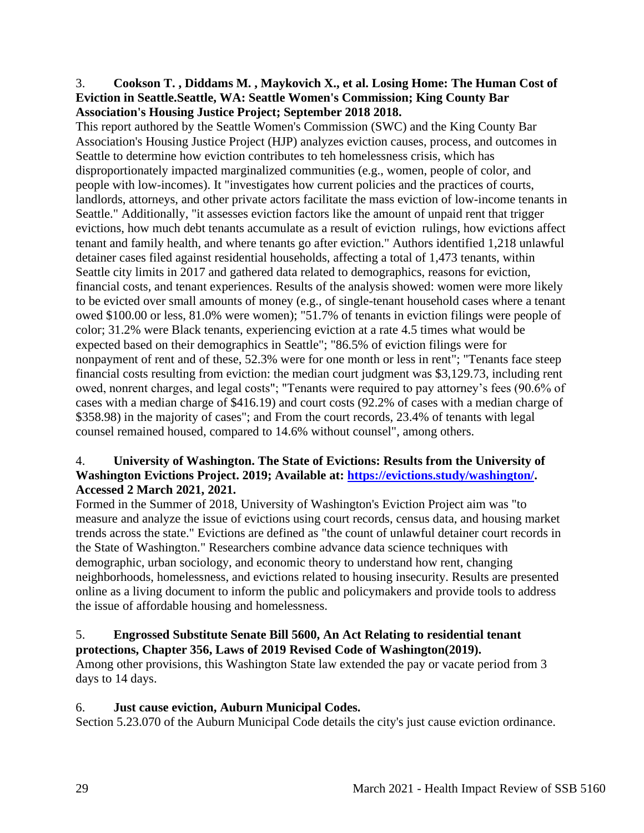### 3. **Cookson T. , Diddams M. , Maykovich X., et al. Losing Home: The Human Cost of Eviction in Seattle.Seattle, WA: Seattle Women's Commission; King County Bar Association's Housing Justice Project; September 2018 2018.**

This report authored by the Seattle Women's Commission (SWC) and the King County Bar Association's Housing Justice Project (HJP) analyzes eviction causes, process, and outcomes in Seattle to determine how eviction contributes to teh homelessness crisis, which has disproportionately impacted marginalized communities (e.g., women, people of color, and people with low-incomes). It "investigates how current policies and the practices of courts, landlords, attorneys, and other private actors facilitate the mass eviction of low-income tenants in Seattle." Additionally, "it assesses eviction factors like the amount of unpaid rent that trigger evictions, how much debt tenants accumulate as a result of eviction rulings, how evictions affect tenant and family health, and where tenants go after eviction." Authors identified 1,218 unlawful detainer cases filed against residential households, affecting a total of 1,473 tenants, within Seattle city limits in 2017 and gathered data related to demographics, reasons for eviction, financial costs, and tenant experiences. Results of the analysis showed: women were more likely to be evicted over small amounts of money (e.g., of single-tenant household cases where a tenant owed \$100.00 or less, 81.0% were women); "51.7% of tenants in eviction filings were people of color; 31.2% were Black tenants, experiencing eviction at a rate 4.5 times what would be expected based on their demographics in Seattle"; "86.5% of eviction filings were for nonpayment of rent and of these, 52.3% were for one month or less in rent"; "Tenants face steep financial costs resulting from eviction: the median court judgment was \$3,129.73, including rent owed, nonrent charges, and legal costs"; "Tenants were required to pay attorney's fees (90.6% of cases with a median charge of \$416.19) and court costs (92.2% of cases with a median charge of \$358.98) in the majority of cases"; and From the court records, 23.4% of tenants with legal counsel remained housed, compared to 14.6% without counsel", among others.

# 4. **University of Washington. The State of Evictions: Results from the University of Washington Evictions Project. 2019; Available at: [https://evictions.study/washington/.](https://evictions.study/washington/) Accessed 2 March 2021, 2021.**

Formed in the Summer of 2018, University of Washington's Eviction Project aim was "to measure and analyze the issue of evictions using court records, census data, and housing market trends across the state." Evictions are defined as "the count of unlawful detainer court records in the State of Washington." Researchers combine advance data science techniques with demographic, urban sociology, and economic theory to understand how rent, changing neighborhoods, homelessness, and evictions related to housing insecurity. Results are presented online as a living document to inform the public and policymakers and provide tools to address the issue of affordable housing and homelessness.

# 5. **Engrossed Substitute Senate Bill 5600, An Act Relating to residential tenant protections, Chapter 356, Laws of 2019 Revised Code of Washington(2019).**

Among other provisions, this Washington State law extended the pay or vacate period from 3 days to 14 days.

# 6. **Just cause eviction, Auburn Municipal Codes.**

Section 5.23.070 of the Auburn Municipal Code details the city's just cause eviction ordinance.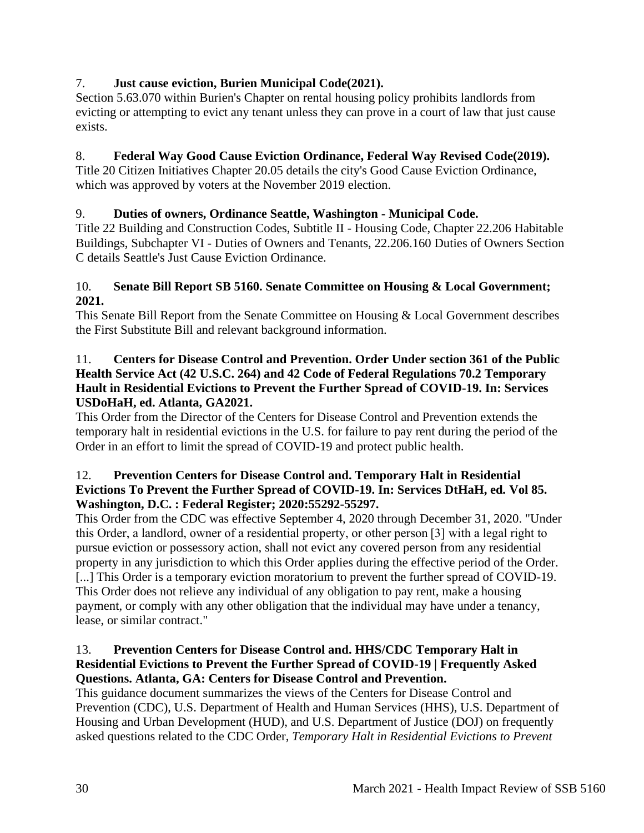# 7. **Just cause eviction, Burien Municipal Code(2021).**

Section 5.63.070 within Burien's Chapter on rental housing policy prohibits landlords from evicting or attempting to evict any tenant unless they can prove in a court of law that just cause exists.

# 8. **Federal Way Good Cause Eviction Ordinance, Federal Way Revised Code(2019).**

Title 20 Citizen Initiatives Chapter 20.05 details the city's Good Cause Eviction Ordinance, which was approved by voters at the November 2019 election.

# 9. **Duties of owners, Ordinance Seattle, Washington - Municipal Code.**

Title 22 Building and Construction Codes, Subtitle II - Housing Code, Chapter 22.206 Habitable Buildings, Subchapter VI - Duties of Owners and Tenants, 22.206.160 Duties of Owners Section C details Seattle's Just Cause Eviction Ordinance.

# 10. **Senate Bill Report SB 5160. Senate Committee on Housing & Local Government; 2021.**

This Senate Bill Report from the Senate Committee on Housing & Local Government describes the First Substitute Bill and relevant background information.

# 11. **Centers for Disease Control and Prevention. Order Under section 361 of the Public Health Service Act (42 U.S.C. 264) and 42 Code of Federal Regulations 70.2 Temporary Hault in Residential Evictions to Prevent the Further Spread of COVID-19. In: Services USDoHaH, ed. Atlanta, GA2021.**

This Order from the Director of the Centers for Disease Control and Prevention extends the temporary halt in residential evictions in the U.S. for failure to pay rent during the period of the Order in an effort to limit the spread of COVID-19 and protect public health.

# 12. **Prevention Centers for Disease Control and. Temporary Halt in Residential Evictions To Prevent the Further Spread of COVID-19. In: Services DtHaH, ed***.* **Vol 85. Washington, D.C. : Federal Register; 2020:55292-55297.**

This Order from the CDC was effective September 4, 2020 through December 31, 2020. "Under this Order, a landlord, owner of a residential property, or other person [3] with a legal right to pursue eviction or possessory action, shall not evict any covered person from any residential property in any jurisdiction to which this Order applies during the effective period of the Order. [...] This Order is a temporary eviction moratorium to prevent the further spread of COVID-19. This Order does not relieve any individual of any obligation to pay rent, make a housing payment, or comply with any other obligation that the individual may have under a tenancy, lease, or similar contract."

# 13. **Prevention Centers for Disease Control and. HHS/CDC Temporary Halt in Residential Evictions to Prevent the Further Spread of COVID-19 | Frequently Asked Questions. Atlanta, GA: Centers for Disease Control and Prevention.**

This guidance document summarizes the views of the Centers for Disease Control and Prevention (CDC), U.S. Department of Health and Human Services (HHS), U.S. Department of Housing and Urban Development (HUD), and U.S. Department of Justice (DOJ) on frequently asked questions related to the CDC Order, *Temporary Halt in Residential Evictions to Prevent*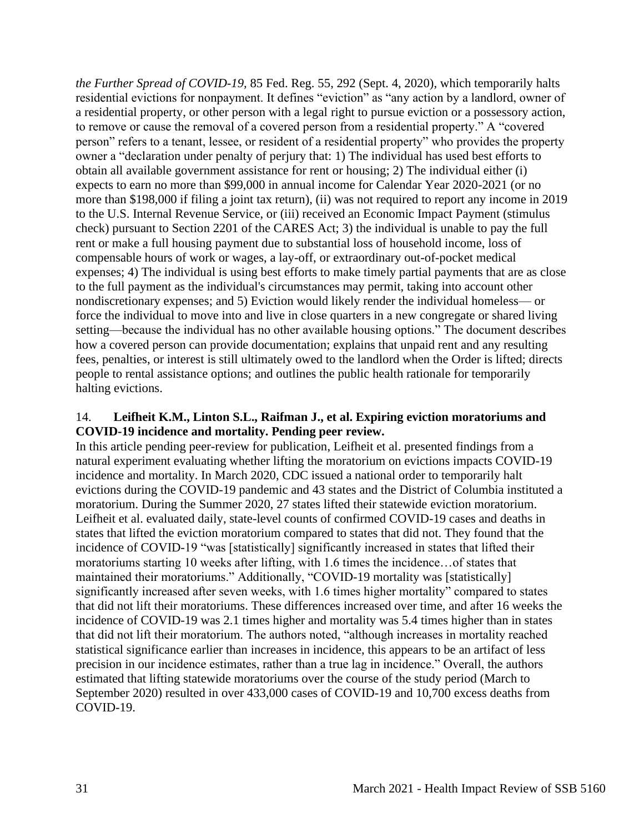*the Further Spread of COVID-19,* 85 Fed. Reg. 55, 292 (Sept. 4, 2020), which temporarily halts residential evictions for nonpayment. It defines "eviction" as "any action by a landlord, owner of a residential property, or other person with a legal right to pursue eviction or a possessory action, to remove or cause the removal of a covered person from a residential property." A "covered person" refers to a tenant, lessee, or resident of a residential property" who provides the property owner a "declaration under penalty of perjury that: 1) The individual has used best efforts to obtain all available government assistance for rent or housing; 2) The individual either (i) expects to earn no more than \$99,000 in annual income for Calendar Year 2020-2021 (or no more than \$198,000 if filing a joint tax return), (ii) was not required to report any income in 2019 to the U.S. Internal Revenue Service, or (iii) received an Economic Impact Payment (stimulus check) pursuant to Section 2201 of the CARES Act; 3) the individual is unable to pay the full rent or make a full housing payment due to substantial loss of household income, loss of compensable hours of work or wages, a lay-off, or extraordinary out-of-pocket medical expenses; 4) The individual is using best efforts to make timely partial payments that are as close to the full payment as the individual's circumstances may permit, taking into account other nondiscretionary expenses; and 5) Eviction would likely render the individual homeless— or force the individual to move into and live in close quarters in a new congregate or shared living setting—because the individual has no other available housing options." The document describes how a covered person can provide documentation; explains that unpaid rent and any resulting fees, penalties, or interest is still ultimately owed to the landlord when the Order is lifted; directs people to rental assistance options; and outlines the public health rationale for temporarily halting evictions.

### 14. **Leifheit K.M., Linton S.L., Raifman J., et al. Expiring eviction moratoriums and COVID-19 incidence and mortality. Pending peer review.**

In this article pending peer-review for publication, Leifheit et al. presented findings from a natural experiment evaluating whether lifting the moratorium on evictions impacts COVID-19 incidence and mortality. In March 2020, CDC issued a national order to temporarily halt evictions during the COVID-19 pandemic and 43 states and the District of Columbia instituted a moratorium. During the Summer 2020, 27 states lifted their statewide eviction moratorium. Leifheit et al. evaluated daily, state-level counts of confirmed COVID-19 cases and deaths in states that lifted the eviction moratorium compared to states that did not. They found that the incidence of COVID-19 "was [statistically] significantly increased in states that lifted their moratoriums starting 10 weeks after lifting, with 1.6 times the incidence…of states that maintained their moratoriums." Additionally, "COVID-19 mortality was [statistically] significantly increased after seven weeks, with 1.6 times higher mortality" compared to states that did not lift their moratoriums. These differences increased over time, and after 16 weeks the incidence of COVID-19 was 2.1 times higher and mortality was 5.4 times higher than in states that did not lift their moratorium. The authors noted, "although increases in mortality reached statistical significance earlier than increases in incidence, this appears to be an artifact of less precision in our incidence estimates, rather than a true lag in incidence." Overall, the authors estimated that lifting statewide moratoriums over the course of the study period (March to September 2020) resulted in over 433,000 cases of COVID-19 and 10,700 excess deaths from COVID-19.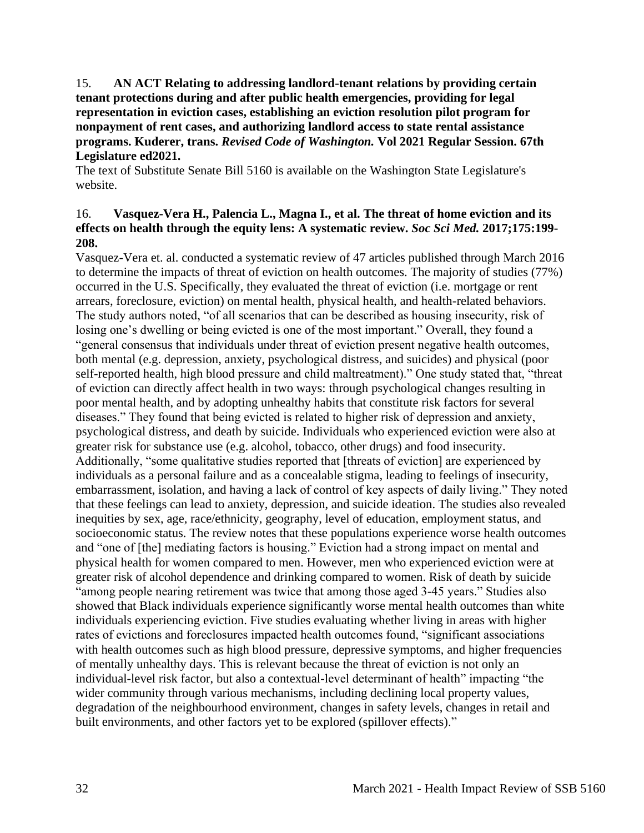15. **AN ACT Relating to addressing landlord-tenant relations by providing certain tenant protections during and after public health emergencies, providing for legal representation in eviction cases, establishing an eviction resolution pilot program for nonpayment of rent cases, and authorizing landlord access to state rental assistance programs. Kuderer, trans.** *Revised Code of Washington.* **Vol 2021 Regular Session. 67th Legislature ed2021.**

The text of Substitute Senate Bill 5160 is available on the Washington State Legislature's website.

# 16. **Vasquez-Vera H., Palencia L., Magna I., et al. The threat of home eviction and its effects on health through the equity lens: A systematic review.** *Soc Sci Med.* **2017;175:199- 208.**

Vasquez-Vera et. al. conducted a systematic review of 47 articles published through March 2016 to determine the impacts of threat of eviction on health outcomes. The majority of studies (77%) occurred in the U.S. Specifically, they evaluated the threat of eviction (i.e. mortgage or rent arrears, foreclosure, eviction) on mental health, physical health, and health-related behaviors. The study authors noted, "of all scenarios that can be described as housing insecurity, risk of losing one's dwelling or being evicted is one of the most important." Overall, they found a "general consensus that individuals under threat of eviction present negative health outcomes, both mental (e.g. depression, anxiety, psychological distress, and suicides) and physical (poor self-reported health, high blood pressure and child maltreatment)." One study stated that, "threat of eviction can directly affect health in two ways: through psychological changes resulting in poor mental health, and by adopting unhealthy habits that constitute risk factors for several diseases." They found that being evicted is related to higher risk of depression and anxiety, psychological distress, and death by suicide. Individuals who experienced eviction were also at greater risk for substance use (e.g. alcohol, tobacco, other drugs) and food insecurity. Additionally, "some qualitative studies reported that [threats of eviction] are experienced by individuals as a personal failure and as a concealable stigma, leading to feelings of insecurity, embarrassment, isolation, and having a lack of control of key aspects of daily living." They noted that these feelings can lead to anxiety, depression, and suicide ideation. The studies also revealed inequities by sex, age, race/ethnicity, geography, level of education, employment status, and socioeconomic status. The review notes that these populations experience worse health outcomes and "one of [the] mediating factors is housing." Eviction had a strong impact on mental and physical health for women compared to men. However, men who experienced eviction were at greater risk of alcohol dependence and drinking compared to women. Risk of death by suicide "among people nearing retirement was twice that among those aged 3-45 years." Studies also showed that Black individuals experience significantly worse mental health outcomes than white individuals experiencing eviction. Five studies evaluating whether living in areas with higher rates of evictions and foreclosures impacted health outcomes found, "significant associations with health outcomes such as high blood pressure, depressive symptoms, and higher frequencies of mentally unhealthy days. This is relevant because the threat of eviction is not only an individual-level risk factor, but also a contextual-level determinant of health" impacting "the wider community through various mechanisms, including declining local property values, degradation of the neighbourhood environment, changes in safety levels, changes in retail and built environments, and other factors yet to be explored (spillover effects)."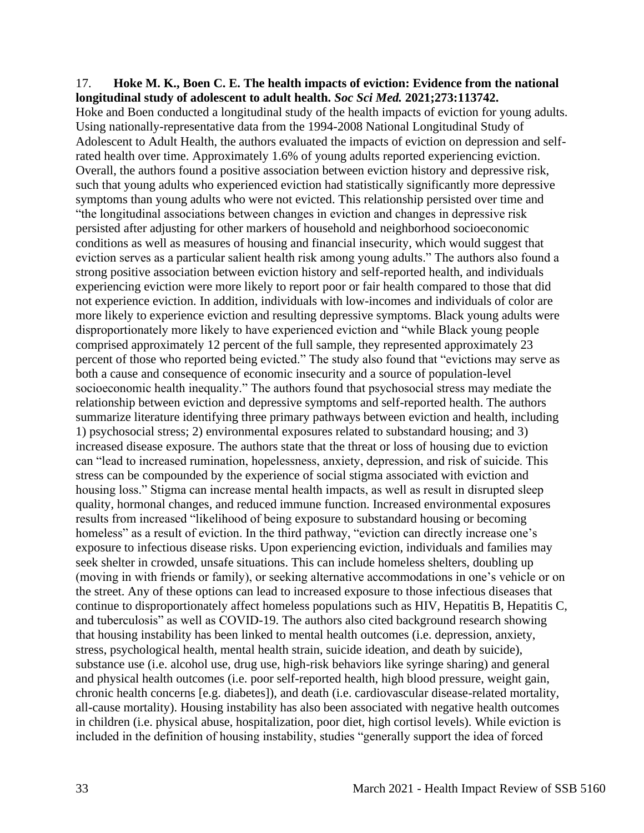#### 17. **Hoke M. K., Boen C. E. The health impacts of eviction: Evidence from the national longitudinal study of adolescent to adult health.** *Soc Sci Med.* **2021;273:113742.**

Hoke and Boen conducted a longitudinal study of the health impacts of eviction for young adults. Using nationally-representative data from the 1994-2008 National Longitudinal Study of Adolescent to Adult Health, the authors evaluated the impacts of eviction on depression and selfrated health over time. Approximately 1.6% of young adults reported experiencing eviction. Overall, the authors found a positive association between eviction history and depressive risk, such that young adults who experienced eviction had statistically significantly more depressive symptoms than young adults who were not evicted. This relationship persisted over time and "the longitudinal associations between changes in eviction and changes in depressive risk persisted after adjusting for other markers of household and neighborhood socioeconomic conditions as well as measures of housing and financial insecurity, which would suggest that eviction serves as a particular salient health risk among young adults." The authors also found a strong positive association between eviction history and self-reported health, and individuals experiencing eviction were more likely to report poor or fair health compared to those that did not experience eviction. In addition, individuals with low-incomes and individuals of color are more likely to experience eviction and resulting depressive symptoms. Black young adults were disproportionately more likely to have experienced eviction and "while Black young people comprised approximately 12 percent of the full sample, they represented approximately 23 percent of those who reported being evicted." The study also found that "evictions may serve as both a cause and consequence of economic insecurity and a source of population-level socioeconomic health inequality." The authors found that psychosocial stress may mediate the relationship between eviction and depressive symptoms and self-reported health. The authors summarize literature identifying three primary pathways between eviction and health, including 1) psychosocial stress; 2) environmental exposures related to substandard housing; and 3) increased disease exposure. The authors state that the threat or loss of housing due to eviction can "lead to increased rumination, hopelessness, anxiety, depression, and risk of suicide. This stress can be compounded by the experience of social stigma associated with eviction and housing loss." Stigma can increase mental health impacts, as well as result in disrupted sleep quality, hormonal changes, and reduced immune function. Increased environmental exposures results from increased "likelihood of being exposure to substandard housing or becoming homeless" as a result of eviction. In the third pathway, "eviction can directly increase one's exposure to infectious disease risks. Upon experiencing eviction, individuals and families may seek shelter in crowded, unsafe situations. This can include homeless shelters, doubling up (moving in with friends or family), or seeking alternative accommodations in one's vehicle or on the street. Any of these options can lead to increased exposure to those infectious diseases that continue to disproportionately affect homeless populations such as HIV, Hepatitis B, Hepatitis C, and tuberculosis" as well as COVID-19. The authors also cited background research showing that housing instability has been linked to mental health outcomes (i.e. depression, anxiety, stress, psychological health, mental health strain, suicide ideation, and death by suicide), substance use (i.e. alcohol use, drug use, high-risk behaviors like syringe sharing) and general and physical health outcomes (i.e. poor self-reported health, high blood pressure, weight gain, chronic health concerns [e.g. diabetes]), and death (i.e. cardiovascular disease-related mortality, all-cause mortality). Housing instability has also been associated with negative health outcomes in children (i.e. physical abuse, hospitalization, poor diet, high cortisol levels). While eviction is included in the definition of housing instability, studies "generally support the idea of forced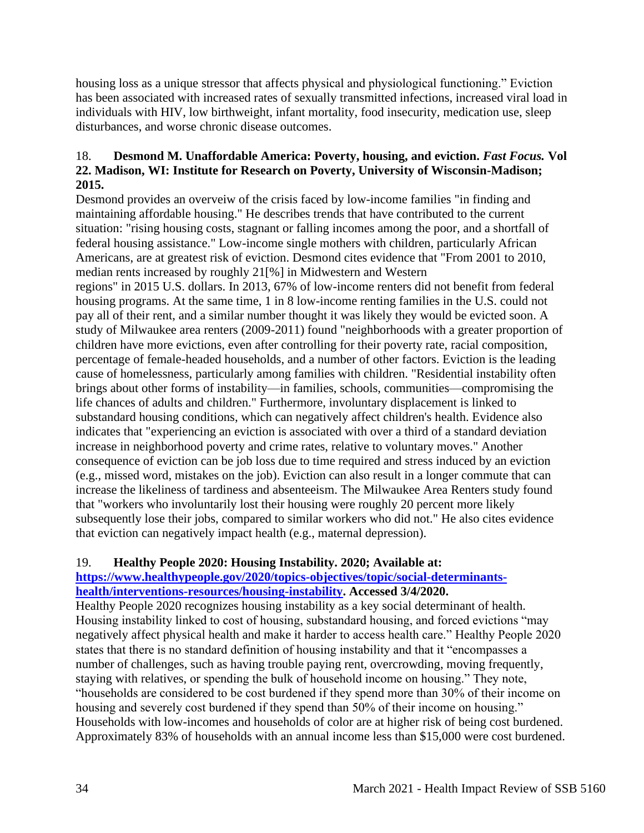housing loss as a unique stressor that affects physical and physiological functioning." Eviction has been associated with increased rates of sexually transmitted infections, increased viral load in individuals with HIV, low birthweight, infant mortality, food insecurity, medication use, sleep disturbances, and worse chronic disease outcomes.

# 18. **Desmond M. Unaffordable America: Poverty, housing, and eviction.** *Fast Focus.* **Vol 22. Madison, WI: Institute for Research on Poverty, University of Wisconsin-Madison; 2015.**

Desmond provides an overveiw of the crisis faced by low-income families "in finding and maintaining affordable housing." He describes trends that have contributed to the current situation: "rising housing costs, stagnant or falling incomes among the poor, and a shortfall of federal housing assistance." Low-income single mothers with children, particularly African Americans, are at greatest risk of eviction. Desmond cites evidence that "From 2001 to 2010, median rents increased by roughly 21[%] in Midwestern and Western

regions" in 2015 U.S. dollars. In 2013, 67% of low-income renters did not benefit from federal housing programs. At the same time, 1 in 8 low-income renting families in the U.S. could not pay all of their rent, and a similar number thought it was likely they would be evicted soon. A study of Milwaukee area renters (2009-2011) found "neighborhoods with a greater proportion of children have more evictions, even after controlling for their poverty rate, racial composition, percentage of female-headed households, and a number of other factors. Eviction is the leading cause of homelessness, particularly among families with children. "Residential instability often brings about other forms of instability—in families, schools, communities—compromising the life chances of adults and children." Furthermore, involuntary displacement is linked to substandard housing conditions, which can negatively affect children's health. Evidence also indicates that "experiencing an eviction is associated with over a third of a standard deviation increase in neighborhood poverty and crime rates, relative to voluntary moves." Another consequence of eviction can be job loss due to time required and stress induced by an eviction (e.g., missed word, mistakes on the job). Eviction can also result in a longer commute that can increase the likeliness of tardiness and absenteeism. The Milwaukee Area Renters study found that "workers who involuntarily lost their housing were roughly 20 percent more likely subsequently lose their jobs, compared to similar workers who did not." He also cites evidence that eviction can negatively impact health (e.g., maternal depression).

# 19. **Healthy People 2020: Housing Instability. 2020; Available at:**

# **[https://www.healthypeople.gov/2020/topics-objectives/topic/social-determinants](https://www.healthypeople.gov/2020/topics-objectives/topic/social-determinants-health/interventions-resources/housing-instability)[health/interventions-resources/housing-instability.](https://www.healthypeople.gov/2020/topics-objectives/topic/social-determinants-health/interventions-resources/housing-instability) Accessed 3/4/2020.**

Healthy People 2020 recognizes housing instability as a key social determinant of health. Housing instability linked to cost of housing, substandard housing, and forced evictions "may negatively affect physical health and make it harder to access health care." Healthy People 2020 states that there is no standard definition of housing instability and that it "encompasses a number of challenges, such as having trouble paying rent, overcrowding, moving frequently, staying with relatives, or spending the bulk of household income on housing." They note, "households are considered to be cost burdened if they spend more than 30% of their income on housing and severely cost burdened if they spend than 50% of their income on housing." Households with low-incomes and households of color are at higher risk of being cost burdened. Approximately 83% of households with an annual income less than \$15,000 were cost burdened.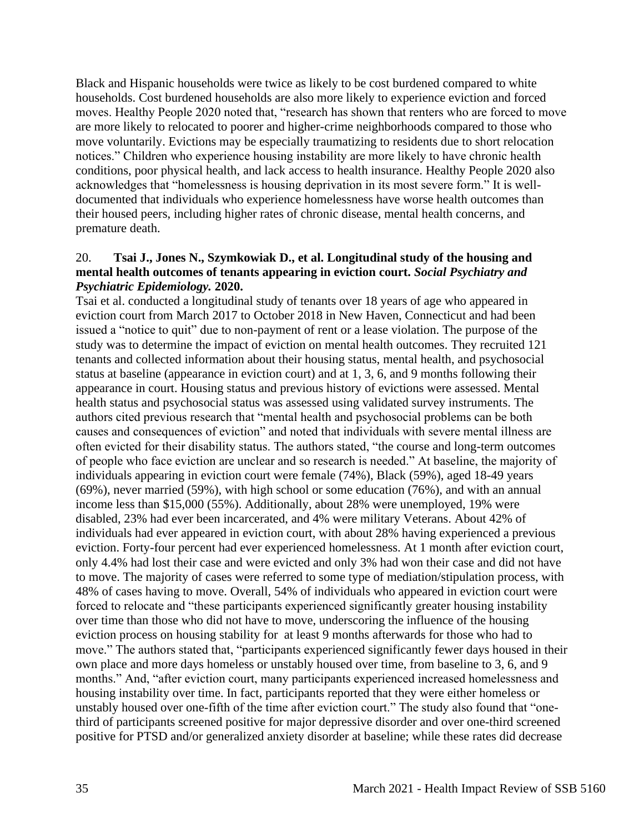Black and Hispanic households were twice as likely to be cost burdened compared to white households. Cost burdened households are also more likely to experience eviction and forced moves. Healthy People 2020 noted that, "research has shown that renters who are forced to move are more likely to relocated to poorer and higher-crime neighborhoods compared to those who move voluntarily. Evictions may be especially traumatizing to residents due to short relocation notices." Children who experience housing instability are more likely to have chronic health conditions, poor physical health, and lack access to health insurance. Healthy People 2020 also acknowledges that "homelessness is housing deprivation in its most severe form." It is welldocumented that individuals who experience homelessness have worse health outcomes than their housed peers, including higher rates of chronic disease, mental health concerns, and premature death.

### 20. **Tsai J., Jones N., Szymkowiak D., et al. Longitudinal study of the housing and mental health outcomes of tenants appearing in eviction court.** *Social Psychiatry and Psychiatric Epidemiology.* **2020.**

Tsai et al. conducted a longitudinal study of tenants over 18 years of age who appeared in eviction court from March 2017 to October 2018 in New Haven, Connecticut and had been issued a "notice to quit" due to non-payment of rent or a lease violation. The purpose of the study was to determine the impact of eviction on mental health outcomes. They recruited 121 tenants and collected information about their housing status, mental health, and psychosocial status at baseline (appearance in eviction court) and at 1, 3, 6, and 9 months following their appearance in court. Housing status and previous history of evictions were assessed. Mental health status and psychosocial status was assessed using validated survey instruments. The authors cited previous research that "mental health and psychosocial problems can be both causes and consequences of eviction" and noted that individuals with severe mental illness are often evicted for their disability status. The authors stated, "the course and long-term outcomes of people who face eviction are unclear and so research is needed." At baseline, the majority of individuals appearing in eviction court were female (74%), Black (59%), aged 18-49 years (69%), never married (59%), with high school or some education (76%), and with an annual income less than \$15,000 (55%). Additionally, about 28% were unemployed, 19% were disabled, 23% had ever been incarcerated, and 4% were military Veterans. About 42% of individuals had ever appeared in eviction court, with about 28% having experienced a previous eviction. Forty-four percent had ever experienced homelessness. At 1 month after eviction court, only 4.4% had lost their case and were evicted and only 3% had won their case and did not have to move. The majority of cases were referred to some type of mediation/stipulation process, with 48% of cases having to move. Overall, 54% of individuals who appeared in eviction court were forced to relocate and "these participants experienced significantly greater housing instability over time than those who did not have to move, underscoring the influence of the housing eviction process on housing stability for at least 9 months afterwards for those who had to move." The authors stated that, "participants experienced significantly fewer days housed in their own place and more days homeless or unstably housed over time, from baseline to 3, 6, and 9 months." And, "after eviction court, many participants experienced increased homelessness and housing instability over time. In fact, participants reported that they were either homeless or unstably housed over one-fifth of the time after eviction court." The study also found that "onethird of participants screened positive for major depressive disorder and over one-third screened positive for PTSD and/or generalized anxiety disorder at baseline; while these rates did decrease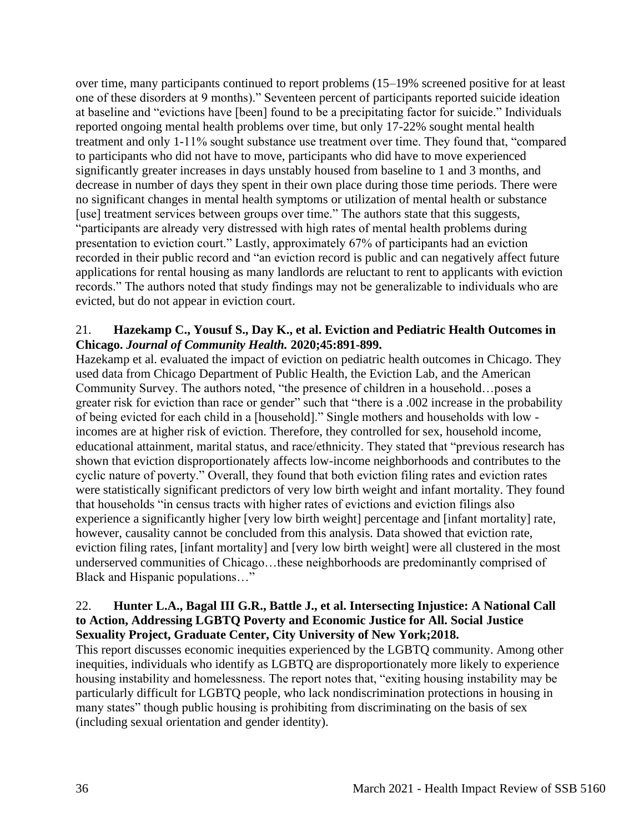over time, many participants continued to report problems (15–19% screened positive for at least one of these disorders at 9 months)." Seventeen percent of participants reported suicide ideation at baseline and "evictions have [been] found to be a precipitating factor for suicide." Individuals reported ongoing mental health problems over time, but only 17-22% sought mental health treatment and only 1-11% sought substance use treatment over time. They found that, "compared to participants who did not have to move, participants who did have to move experienced significantly greater increases in days unstably housed from baseline to 1 and 3 months, and decrease in number of days they spent in their own place during those time periods. There were no significant changes in mental health symptoms or utilization of mental health or substance [use] treatment services between groups over time." The authors state that this suggests, "participants are already very distressed with high rates of mental health problems during presentation to eviction court." Lastly, approximately 67% of participants had an eviction recorded in their public record and "an eviction record is public and can negatively affect future applications for rental housing as many landlords are reluctant to rent to applicants with eviction records." The authors noted that study findings may not be generalizable to individuals who are evicted, but do not appear in eviction court.

### 21. **Hazekamp C., Yousuf S., Day K., et al. Eviction and Pediatric Health Outcomes in Chicago.** *Journal of Community Health.* **2020;45:891-899.**

Hazekamp et al. evaluated the impact of eviction on pediatric health outcomes in Chicago. They used data from Chicago Department of Public Health, the Eviction Lab, and the American Community Survey. The authors noted, "the presence of children in a household…poses a greater risk for eviction than race or gender" such that "there is a .002 increase in the probability of being evicted for each child in a [household]." Single mothers and households with low incomes are at higher risk of eviction. Therefore, they controlled for sex, household income, educational attainment, marital status, and race/ethnicity. They stated that "previous research has shown that eviction disproportionately affects low-income neighborhoods and contributes to the cyclic nature of poverty." Overall, they found that both eviction filing rates and eviction rates were statistically significant predictors of very low birth weight and infant mortality. They found that households "in census tracts with higher rates of evictions and eviction filings also experience a significantly higher [very low birth weight] percentage and [infant mortality] rate, however, causality cannot be concluded from this analysis. Data showed that eviction rate, eviction filing rates, [infant mortality] and [very low birth weight] were all clustered in the most underserved communities of Chicago…these neighborhoods are predominantly comprised of Black and Hispanic populations…"

### 22. **Hunter L.A., Bagal III G.R., Battle J., et al. Intersecting Injustice: A National Call to Action, Addressing LGBTQ Poverty and Economic Justice for All. Social Justice Sexuality Project, Graduate Center, City University of New York;2018.**

This report discusses economic inequities experienced by the LGBTQ community. Among other inequities, individuals who identify as LGBTQ are disproportionately more likely to experience housing instability and homelessness. The report notes that, "exiting housing instability may be particularly difficult for LGBTQ people, who lack nondiscrimination protections in housing in many states" though public housing is prohibiting from discriminating on the basis of sex (including sexual orientation and gender identity).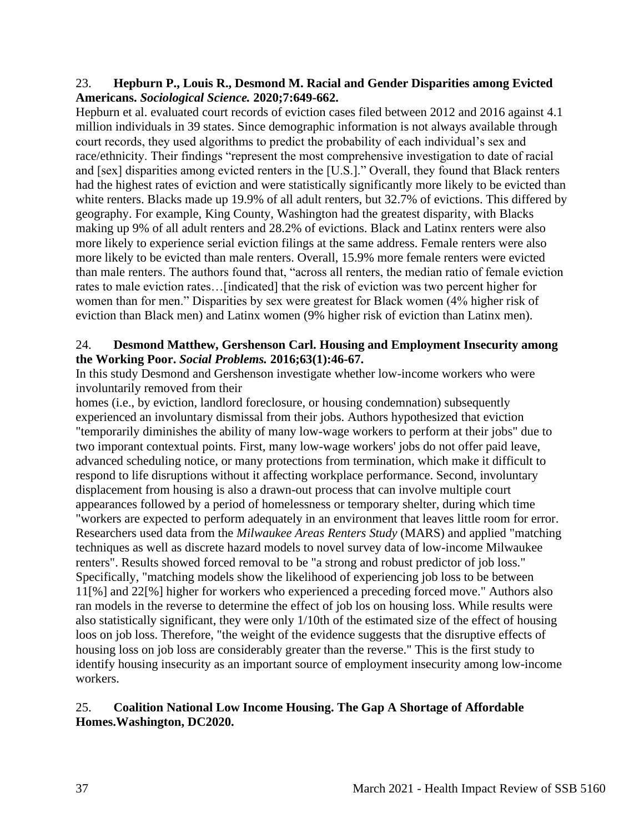### 23. **Hepburn P., Louis R., Desmond M. Racial and Gender Disparities among Evicted Americans.** *Sociological Science.* **2020;7:649-662.**

Hepburn et al. evaluated court records of eviction cases filed between 2012 and 2016 against 4.1 million individuals in 39 states. Since demographic information is not always available through court records, they used algorithms to predict the probability of each individual's sex and race/ethnicity. Their findings "represent the most comprehensive investigation to date of racial and [sex] disparities among evicted renters in the [U.S.]." Overall, they found that Black renters had the highest rates of eviction and were statistically significantly more likely to be evicted than white renters. Blacks made up 19.9% of all adult renters, but 32.7% of evictions. This differed by geography. For example, King County, Washington had the greatest disparity, with Blacks making up 9% of all adult renters and 28.2% of evictions. Black and Latinx renters were also more likely to experience serial eviction filings at the same address. Female renters were also more likely to be evicted than male renters. Overall, 15.9% more female renters were evicted than male renters. The authors found that, "across all renters, the median ratio of female eviction rates to male eviction rates…[indicated] that the risk of eviction was two percent higher for women than for men." Disparities by sex were greatest for Black women (4% higher risk of eviction than Black men) and Latinx women (9% higher risk of eviction than Latinx men).

### 24. **Desmond Matthew, Gershenson Carl. Housing and Employment Insecurity among the Working Poor.** *Social Problems.* **2016;63(1):46-67.**

In this study Desmond and Gershenson investigate whether low-income workers who were involuntarily removed from their

homes (i.e., by eviction, landlord foreclosure, or housing condemnation) subsequently experienced an involuntary dismissal from their jobs. Authors hypothesized that eviction "temporarily diminishes the ability of many low-wage workers to perform at their jobs" due to two imporant contextual points. First, many low-wage workers' jobs do not offer paid leave, advanced scheduling notice, or many protections from termination, which make it difficult to respond to life disruptions without it affecting workplace performance. Second, involuntary displacement from housing is also a drawn-out process that can involve multiple court appearances followed by a period of homelessness or temporary shelter, during which time "workers are expected to perform adequately in an environment that leaves little room for error. Researchers used data from the *Milwaukee Areas Renters Study* (MARS) and applied "matching techniques as well as discrete hazard models to novel survey data of low-income Milwaukee renters". Results showed forced removal to be "a strong and robust predictor of job loss." Specifically, "matching models show the likelihood of experiencing job loss to be between 11[%] and 22[%] higher for workers who experienced a preceding forced move." Authors also ran models in the reverse to determine the effect of job los on housing loss. While results were also statistically significant, they were only 1/10th of the estimated size of the effect of housing loos on job loss. Therefore, "the weight of the evidence suggests that the disruptive effects of housing loss on job loss are considerably greater than the reverse." This is the first study to identify housing insecurity as an important source of employment insecurity among low-income workers.

# 25. **Coalition National Low Income Housing. The Gap A Shortage of Affordable Homes.Washington, DC2020.**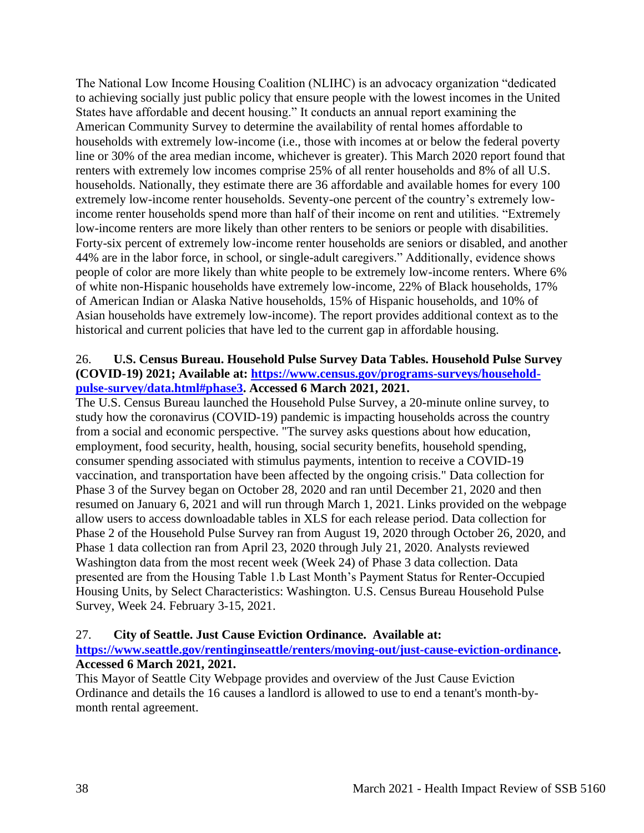The National Low Income Housing Coalition (NLIHC) is an advocacy organization "dedicated to achieving socially just public policy that ensure people with the lowest incomes in the United States have affordable and decent housing." It conducts an annual report examining the American Community Survey to determine the availability of rental homes affordable to households with extremely low-income (i.e., those with incomes at or below the federal poverty line or 30% of the area median income, whichever is greater). This March 2020 report found that renters with extremely low incomes comprise 25% of all renter households and 8% of all U.S. households. Nationally, they estimate there are 36 affordable and available homes for every 100 extremely low-income renter households. Seventy-one percent of the country's extremely lowincome renter households spend more than half of their income on rent and utilities. "Extremely low-income renters are more likely than other renters to be seniors or people with disabilities. Forty-six percent of extremely low-income renter households are seniors or disabled, and another 44% are in the labor force, in school, or single-adult caregivers." Additionally, evidence shows people of color are more likely than white people to be extremely low-income renters. Where 6% of white non-Hispanic households have extremely low-income, 22% of Black households, 17% of American Indian or Alaska Native households, 15% of Hispanic households, and 10% of Asian households have extremely low-income). The report provides additional context as to the historical and current policies that have led to the current gap in affordable housing.

# 26. **U.S. Census Bureau. Household Pulse Survey Data Tables. Household Pulse Survey (COVID-19) 2021; Available at: [https://www.census.gov/programs-surveys/household](https://www.census.gov/programs-surveys/household-pulse-survey/data.html#phase3)[pulse-survey/data.html#phase3.](https://www.census.gov/programs-surveys/household-pulse-survey/data.html#phase3) Accessed 6 March 2021, 2021.**

The U.S. Census Bureau launched the Household Pulse Survey, a 20-minute online survey, to study how the coronavirus (COVID-19) pandemic is impacting households across the country from a social and economic perspective. "The survey asks questions about how education, employment, food security, health, housing, social security benefits, household spending, consumer spending associated with stimulus payments, intention to receive a COVID-19 vaccination, and transportation have been affected by the ongoing crisis." Data collection for Phase 3 of the Survey began on October 28, 2020 and ran until December 21, 2020 and then resumed on January 6, 2021 and will run through March 1, 2021. Links provided on the webpage allow users to access downloadable tables in XLS for each release period. Data collection for Phase 2 of the Household Pulse Survey ran from August 19, 2020 through October 26, 2020, and Phase 1 data collection ran from April 23, 2020 through July 21, 2020. Analysts reviewed Washington data from the most recent week (Week 24) of Phase 3 data collection. Data presented are from the Housing Table 1.b Last Month's Payment Status for Renter-Occupied Housing Units, by Select Characteristics: Washington. U.S. Census Bureau Household Pulse Survey, Week 24. February 3-15, 2021.

# 27. **City of Seattle. Just Cause Eviction Ordinance. Available at:**

# **[https://www.seattle.gov/rentinginseattle/renters/moving-out/just-cause-eviction-ordinance.](https://www.seattle.gov/rentinginseattle/renters/moving-out/just-cause-eviction-ordinance) Accessed 6 March 2021, 2021.**

This Mayor of Seattle City Webpage provides and overview of the Just Cause Eviction Ordinance and details the 16 causes a landlord is allowed to use to end a tenant's month-bymonth rental agreement.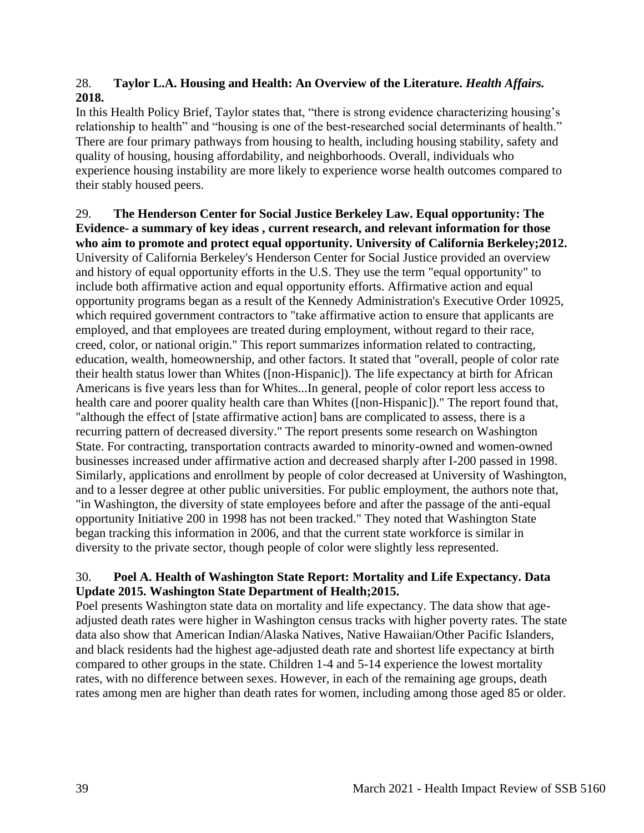# 28. **Taylor L.A. Housing and Health: An Overview of the Literature.** *Health Affairs.*  **2018.**

In this Health Policy Brief, Taylor states that, "there is strong evidence characterizing housing's relationship to health" and "housing is one of the best-researched social determinants of health." There are four primary pathways from housing to health, including housing stability, safety and quality of housing, housing affordability, and neighborhoods. Overall, individuals who experience housing instability are more likely to experience worse health outcomes compared to their stably housed peers.

29. **The Henderson Center for Social Justice Berkeley Law. Equal opportunity: The Evidence- a summary of key ideas , current research, and relevant information for those who aim to promote and protect equal opportunity. University of California Berkeley;2012.** University of California Berkeley's Henderson Center for Social Justice provided an overview and history of equal opportunity efforts in the U.S. They use the term "equal opportunity" to include both affirmative action and equal opportunity efforts. Affirmative action and equal opportunity programs began as a result of the Kennedy Administration's Executive Order 10925, which required government contractors to "take affirmative action to ensure that applicants are employed, and that employees are treated during employment, without regard to their race, creed, color, or national origin." This report summarizes information related to contracting, education, wealth, homeownership, and other factors. It stated that "overall, people of color rate their health status lower than Whites ([non-Hispanic]). The life expectancy at birth for African Americans is five years less than for Whites...In general, people of color report less access to health care and poorer quality health care than Whites ([non-Hispanic])." The report found that, "although the effect of [state affirmative action] bans are complicated to assess, there is a recurring pattern of decreased diversity." The report presents some research on Washington State. For contracting, transportation contracts awarded to minority-owned and women-owned businesses increased under affirmative action and decreased sharply after I-200 passed in 1998. Similarly, applications and enrollment by people of color decreased at University of Washington, and to a lesser degree at other public universities. For public employment, the authors note that, "in Washington, the diversity of state employees before and after the passage of the anti-equal opportunity Initiative 200 in 1998 has not been tracked." They noted that Washington State began tracking this information in 2006, and that the current state workforce is similar in diversity to the private sector, though people of color were slightly less represented.

# 30. **Poel A. Health of Washington State Report: Mortality and Life Expectancy. Data Update 2015. Washington State Department of Health;2015.**

Poel presents Washington state data on mortality and life expectancy. The data show that ageadjusted death rates were higher in Washington census tracks with higher poverty rates. The state data also show that American Indian/Alaska Natives, Native Hawaiian/Other Pacific Islanders, and black residents had the highest age-adjusted death rate and shortest life expectancy at birth compared to other groups in the state. Children 1-4 and 5-14 experience the lowest mortality rates, with no difference between sexes. However, in each of the remaining age groups, death rates among men are higher than death rates for women, including among those aged 85 or older.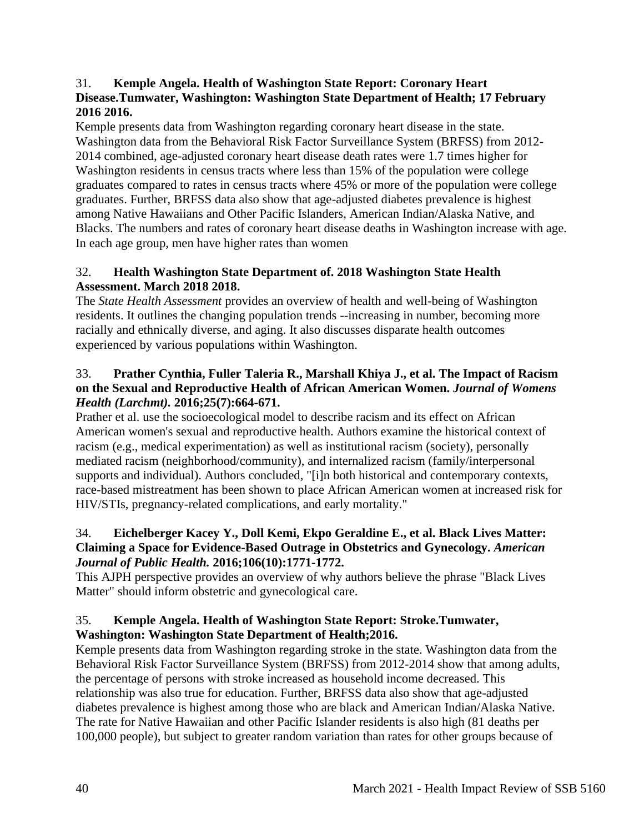# 31. **Kemple Angela. Health of Washington State Report: Coronary Heart Disease.Tumwater, Washington: Washington State Department of Health; 17 February 2016 2016.**

Kemple presents data from Washington regarding coronary heart disease in the state. Washington data from the Behavioral Risk Factor Surveillance System (BRFSS) from 2012- 2014 combined, age-adjusted coronary heart disease death rates were 1.7 times higher for Washington residents in census tracts where less than 15% of the population were college graduates compared to rates in census tracts where 45% or more of the population were college graduates. Further, BRFSS data also show that age-adjusted diabetes prevalence is highest among Native Hawaiians and Other Pacific Islanders, American Indian/Alaska Native, and Blacks. The numbers and rates of coronary heart disease deaths in Washington increase with age. In each age group, men have higher rates than women

# 32. **Health Washington State Department of. 2018 Washington State Health Assessment. March 2018 2018.**

The *State Health Assessment* provides an overview of health and well-being of Washington residents. It outlines the changing population trends --increasing in number, becoming more racially and ethnically diverse, and aging. It also discusses disparate health outcomes experienced by various populations within Washington.

# 33. **Prather Cynthia, Fuller Taleria R., Marshall Khiya J., et al. The Impact of Racism on the Sexual and Reproductive Health of African American Women.** *Journal of Womens Health (Larchmt).* **2016;25(7):664-671.**

Prather et al. use the socioecological model to describe racism and its effect on African American women's sexual and reproductive health. Authors examine the historical context of racism (e.g., medical experimentation) as well as institutional racism (society), personally mediated racism (neighborhood/community), and internalized racism (family/interpersonal supports and individual). Authors concluded, "[i]n both historical and contemporary contexts, race-based mistreatment has been shown to place African American women at increased risk for HIV/STIs, pregnancy-related complications, and early mortality."

# 34. **Eichelberger Kacey Y., Doll Kemi, Ekpo Geraldine E., et al. Black Lives Matter: Claiming a Space for Evidence-Based Outrage in Obstetrics and Gynecology.** *American Journal of Public Health.* **2016;106(10):1771-1772.**

This AJPH perspective provides an overview of why authors believe the phrase "Black Lives Matter" should inform obstetric and gynecological care.

# 35. **Kemple Angela. Health of Washington State Report: Stroke.Tumwater, Washington: Washington State Department of Health;2016.**

Kemple presents data from Washington regarding stroke in the state. Washington data from the Behavioral Risk Factor Surveillance System (BRFSS) from 2012-2014 show that among adults, the percentage of persons with stroke increased as household income decreased. This relationship was also true for education. Further, BRFSS data also show that age-adjusted diabetes prevalence is highest among those who are black and American Indian/Alaska Native. The rate for Native Hawaiian and other Pacific Islander residents is also high (81 deaths per 100,000 people), but subject to greater random variation than rates for other groups because of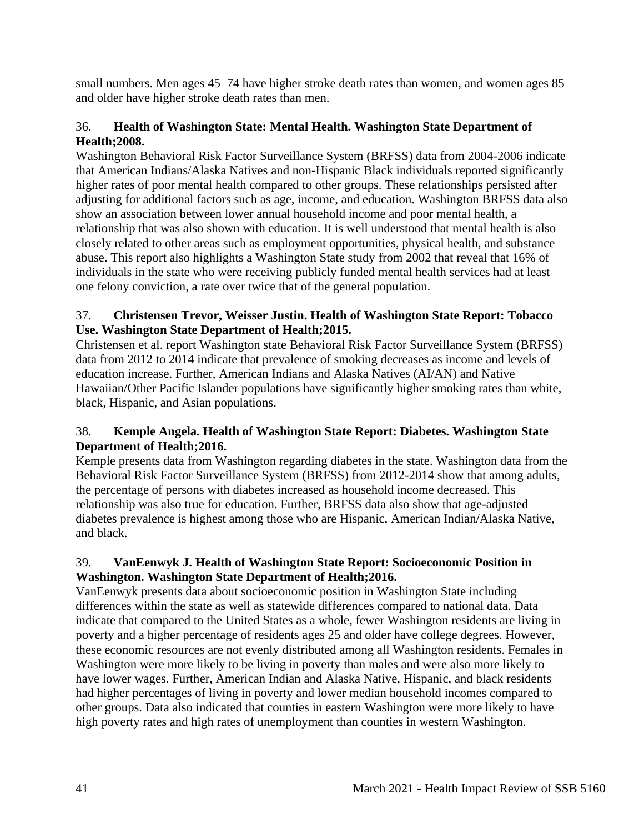small numbers. Men ages 45–74 have higher stroke death rates than women, and women ages 85 and older have higher stroke death rates than men.

# 36. **Health of Washington State: Mental Health. Washington State Department of Health;2008.**

Washington Behavioral Risk Factor Surveillance System (BRFSS) data from 2004-2006 indicate that American Indians/Alaska Natives and non-Hispanic Black individuals reported significantly higher rates of poor mental health compared to other groups. These relationships persisted after adjusting for additional factors such as age, income, and education. Washington BRFSS data also show an association between lower annual household income and poor mental health, a relationship that was also shown with education. It is well understood that mental health is also closely related to other areas such as employment opportunities, physical health, and substance abuse. This report also highlights a Washington State study from 2002 that reveal that 16% of individuals in the state who were receiving publicly funded mental health services had at least one felony conviction, a rate over twice that of the general population.

# 37. **Christensen Trevor, Weisser Justin. Health of Washington State Report: Tobacco Use. Washington State Department of Health;2015.**

Christensen et al. report Washington state Behavioral Risk Factor Surveillance System (BRFSS) data from 2012 to 2014 indicate that prevalence of smoking decreases as income and levels of education increase. Further, American Indians and Alaska Natives (AI/AN) and Native Hawaiian/Other Pacific Islander populations have significantly higher smoking rates than white, black, Hispanic, and Asian populations.

# 38. **Kemple Angela. Health of Washington State Report: Diabetes. Washington State Department of Health;2016.**

Kemple presents data from Washington regarding diabetes in the state. Washington data from the Behavioral Risk Factor Surveillance System (BRFSS) from 2012-2014 show that among adults, the percentage of persons with diabetes increased as household income decreased. This relationship was also true for education. Further, BRFSS data also show that age-adjusted diabetes prevalence is highest among those who are Hispanic, American Indian/Alaska Native, and black.

# 39. **VanEenwyk J. Health of Washington State Report: Socioeconomic Position in Washington. Washington State Department of Health;2016.**

VanEenwyk presents data about socioeconomic position in Washington State including differences within the state as well as statewide differences compared to national data. Data indicate that compared to the United States as a whole, fewer Washington residents are living in poverty and a higher percentage of residents ages 25 and older have college degrees. However, these economic resources are not evenly distributed among all Washington residents. Females in Washington were more likely to be living in poverty than males and were also more likely to have lower wages. Further, American Indian and Alaska Native, Hispanic, and black residents had higher percentages of living in poverty and lower median household incomes compared to other groups. Data also indicated that counties in eastern Washington were more likely to have high poverty rates and high rates of unemployment than counties in western Washington.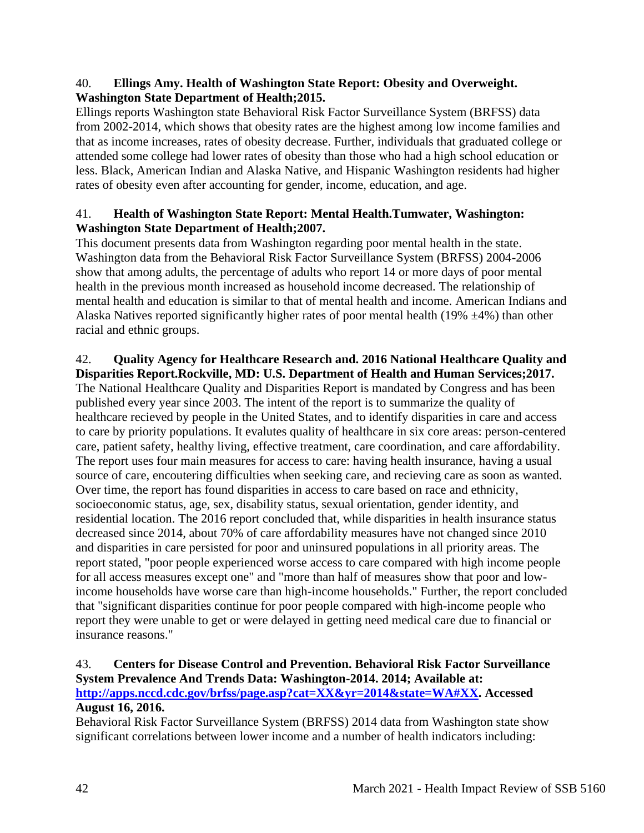# 40. **Ellings Amy. Health of Washington State Report: Obesity and Overweight. Washington State Department of Health;2015.**

Ellings reports Washington state Behavioral Risk Factor Surveillance System (BRFSS) data from 2002-2014, which shows that obesity rates are the highest among low income families and that as income increases, rates of obesity decrease. Further, individuals that graduated college or attended some college had lower rates of obesity than those who had a high school education or less. Black, American Indian and Alaska Native, and Hispanic Washington residents had higher rates of obesity even after accounting for gender, income, education, and age.

# 41. **Health of Washington State Report: Mental Health.Tumwater, Washington: Washington State Department of Health;2007.**

This document presents data from Washington regarding poor mental health in the state. Washington data from the Behavioral Risk Factor Surveillance System (BRFSS) 2004-2006 show that among adults, the percentage of adults who report 14 or more days of poor mental health in the previous month increased as household income decreased. The relationship of mental health and education is similar to that of mental health and income. American Indians and Alaska Natives reported significantly higher rates of poor mental health (19%  $\pm$ 4%) than other racial and ethnic groups.

# 42. **Quality Agency for Healthcare Research and. 2016 National Healthcare Quality and Disparities Report.Rockville, MD: U.S. Department of Health and Human Services;2017.**

The National Healthcare Quality and Disparities Report is mandated by Congress and has been published every year since 2003. The intent of the report is to summarize the quality of healthcare recieved by people in the United States, and to identify disparities in care and access to care by priority populations. It evalutes quality of healthcare in six core areas: person-centered care, patient safety, healthy living, effective treatment, care coordination, and care affordability. The report uses four main measures for access to care: having health insurance, having a usual source of care, encoutering difficulties when seeking care, and recieving care as soon as wanted. Over time, the report has found disparities in access to care based on race and ethnicity, socioeconomic status, age, sex, disability status, sexual orientation, gender identity, and residential location. The 2016 report concluded that, while disparities in health insurance status decreased since 2014, about 70% of care affordability measures have not changed since 2010 and disparities in care persisted for poor and uninsured populations in all priority areas. The report stated, "poor people experienced worse access to care compared with high income people for all access measures except one" and "more than half of measures show that poor and lowincome households have worse care than high-income households." Further, the report concluded that "significant disparities continue for poor people compared with high-income people who report they were unable to get or were delayed in getting need medical care due to financial or insurance reasons."

# 43. **Centers for Disease Control and Prevention. Behavioral Risk Factor Surveillance System Prevalence And Trends Data: Washington-2014. 2014; Available at: [http://apps.nccd.cdc.gov/brfss/page.asp?cat=XX&yr=2014&state=WA#XX.](http://apps.nccd.cdc.gov/brfss/page.asp?cat=XX&yr=2014&state=WA#XX) Accessed**

# **August 16, 2016.**

Behavioral Risk Factor Surveillance System (BRFSS) 2014 data from Washington state show significant correlations between lower income and a number of health indicators including: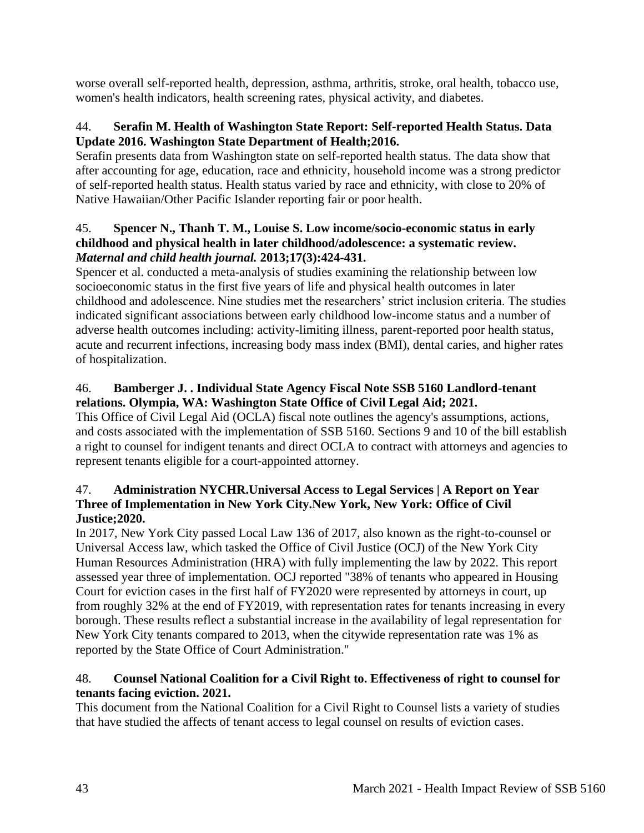worse overall self-reported health, depression, asthma, arthritis, stroke, oral health, tobacco use, women's health indicators, health screening rates, physical activity, and diabetes.

# 44. **Serafin M. Health of Washington State Report: Self-reported Health Status. Data Update 2016. Washington State Department of Health;2016.**

Serafin presents data from Washington state on self-reported health status. The data show that after accounting for age, education, race and ethnicity, household income was a strong predictor of self-reported health status. Health status varied by race and ethnicity, with close to 20% of Native Hawaiian/Other Pacific Islander reporting fair or poor health.

# 45. **Spencer N., Thanh T. M., Louise S. Low income/socio-economic status in early childhood and physical health in later childhood/adolescence: a systematic review.**  *Maternal and child health journal.* **2013;17(3):424-431.**

Spencer et al. conducted a meta-analysis of studies examining the relationship between low socioeconomic status in the first five years of life and physical health outcomes in later childhood and adolescence. Nine studies met the researchers' strict inclusion criteria. The studies indicated significant associations between early childhood low-income status and a number of adverse health outcomes including: activity-limiting illness, parent-reported poor health status, acute and recurrent infections, increasing body mass index (BMI), dental caries, and higher rates of hospitalization.

# 46. **Bamberger J. . Individual State Agency Fiscal Note SSB 5160 Landlord-tenant relations. Olympia, WA: Washington State Office of Civil Legal Aid; 2021.**

This Office of Civil Legal Aid (OCLA) fiscal note outlines the agency's assumptions, actions, and costs associated with the implementation of SSB 5160. Sections 9 and 10 of the bill establish a right to counsel for indigent tenants and direct OCLA to contract with attorneys and agencies to represent tenants eligible for a court-appointed attorney.

# 47. **Administration NYCHR.Universal Access to Legal Services | A Report on Year Three of Implementation in New York City.New York, New York: Office of Civil Justice;2020.**

In 2017, New York City passed Local Law 136 of 2017, also known as the right-to-counsel or Universal Access law, which tasked the Office of Civil Justice (OCJ) of the New York City Human Resources Administration (HRA) with fully implementing the law by 2022. This report assessed year three of implementation. OCJ reported "38% of tenants who appeared in Housing Court for eviction cases in the first half of FY2020 were represented by attorneys in court, up from roughly 32% at the end of FY2019, with representation rates for tenants increasing in every borough. These results reflect a substantial increase in the availability of legal representation for New York City tenants compared to 2013, when the citywide representation rate was 1% as reported by the State Office of Court Administration."

# 48. **Counsel National Coalition for a Civil Right to. Effectiveness of right to counsel for tenants facing eviction. 2021.**

This document from the National Coalition for a Civil Right to Counsel lists a variety of studies that have studied the affects of tenant access to legal counsel on results of eviction cases.